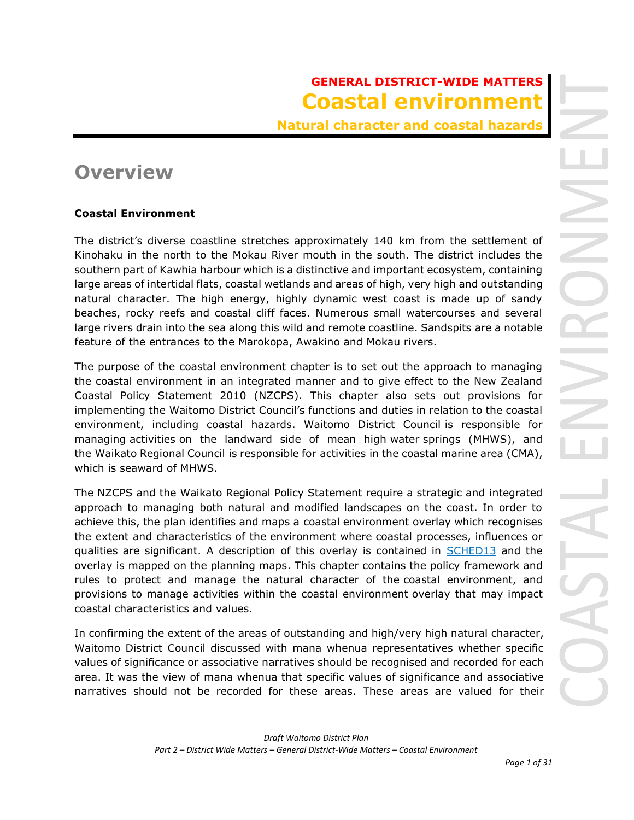# **GENERAL DISTRICT-WIDE MATTERS Coastal environment**

**Natural character and coastal hazards**

# **Overview**

## **Coastal Environment**

The district's diverse coastline stretches approximately 140 km from the settlement of Kinohaku in the north to the Mokau River mouth in the south. The district includes the southern part of Kawhia harbour which is a distinctive and important ecosystem, containing large areas of intertidal flats, coastal wetlands and areas of high, very high and outstanding natural character. The high energy, highly dynamic west coast is made up of sandy beaches, rocky reefs and coastal cliff faces. Numerous small watercourses and several large rivers drain into the sea along this wild and remote coastline. Sandspits are a notable feature of the entrances to the Marokopa, Awakino and Mokau rivers.

The purpose of the coastal environment chapter is to set out the approach to managing the coastal environment in an integrated manner and to give effect to the New Zealand Coastal Policy Statement 2010 (NZCPS). This chapter also sets out provisions for implementing the Waitomo District Council's functions and duties in relation to the coastal environment, including coastal hazards. Waitomo District Council is responsible for managing activities on the landward side of mean high water springs (MHWS), and the Waikato Regional Council is responsible for activities in the coastal marine area (CMA), which is seaward of MHWS.

The NZCPS and the Waikato Regional Policy Statement require a strategic and integrated approach to managing both natural and modified landscapes on the coast. In order to achieve this, the plan identifies and maps a coastal environment overlay which recognises the extent and characteristics of the environment where coastal processes, influences or qualities are significant. A description of this overlay is contained in **SCHED13** and the overlay is mapped on the planning maps. This chapter contains the policy framework and rules to protect and manage the natural character of the coastal environment, and provisions to manage activities within the coastal environment overlay that may impact coastal characteristics and values.

In confirming the extent of the areas of outstanding and high/very high natural character, Waitomo District Council discussed with mana whenua representatives whether specific values of significance or associative narratives should be recognised and recorded for each area. It was the view of mana whenua that specific values of significance and associative narratives should not be recorded for these areas. These areas are valued for their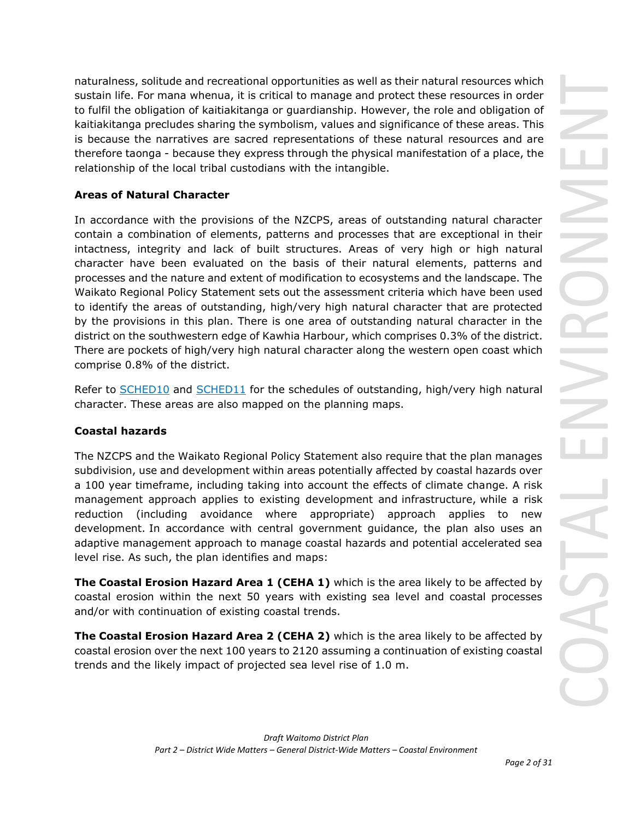naturalness, solitude and recreational opportunities as well as their natural resources which sustain life. For mana whenua, it is critical to manage and protect these resources in order to fulfil the obligation of kaitiakitanga or guardianship. However, the role and obligation of kaitiakitanga precludes sharing the symbolism, values and significance of these areas. This is because the narratives are sacred representations of these natural resources and are therefore taonga - because they express through the physical manifestation of a place, the relationship of the local tribal custodians with the intangible.

## **Areas of Natural Character**

In accordance with the provisions of the NZCPS, areas of outstanding natural character contain a combination of elements, patterns and processes that are exceptional in their intactness, integrity and lack of built structures. Areas of very high or high natural character have been evaluated on the basis of their natural elements, patterns and processes and the nature and extent of modification to ecosystems and the landscape. The Waikato Regional Policy Statement sets out the assessment criteria which have been used to identify the areas of outstanding, high/very high natural character that are protected by the provisions in this plan. There is one area of outstanding natural character in the district on the southwestern edge of Kawhia Harbour, which comprises 0.3% of the district. There are pockets of high/very high natural character along the western open coast which comprise 0.8% of the district.

Refer to [SCHED10](javascript:void(0)) and SCHED11 for the schedules of outstanding, high/very high natural character. These areas are also mapped on the planning maps.

## **Coastal hazards**

The NZCPS and the Waikato Regional Policy Statement also require that the plan manages subdivision, use and development within areas potentially affected by coastal hazards over a 100 year timeframe, including taking into account the effects of climate change. A risk management approach applies to existing development and infrastructure, while a risk reduction (including avoidance where appropriate) approach applies to new development. In accordance with central government guidance, the plan also uses an adaptive management approach to manage coastal hazards and potential accelerated sea level rise. As such, the plan identifies and maps:

**The Coastal Erosion Hazard Area 1 (CEHA 1)** which is the area likely to be affected by coastal erosion within the next 50 years with existing sea level and coastal processes and/or with continuation of existing coastal trends.

**The Coastal Erosion Hazard Area 2 (CEHA 2)** which is the area likely to be affected by coastal erosion over the next 100 years to 2120 assuming a continuation of existing coastal trends and the likely impact of projected sea level rise of 1.0 m.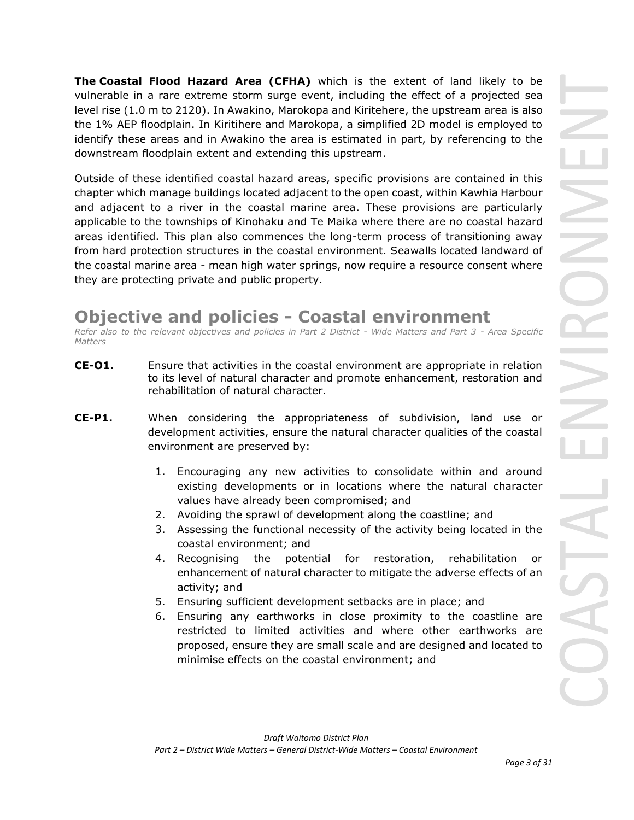**The Coastal Flood Hazard Area (CFHA)** which is the extent of land likely to be vulnerable in a rare extreme storm surge event, including the effect of a projected sea level rise (1.0 m to 2120). In Awakino, Marokopa and Kiritehere, the upstream area is also the 1% AEP floodplain. In Kiritihere and Marokopa, a simplified 2D model is employed to identify these areas and in Awakino the area is estimated in part, by referencing to the downstream floodplain extent and extending this upstream.

Outside of these identified coastal hazard areas, specific provisions are contained in this chapter which manage buildings located adjacent to the open coast, within Kawhia Harbour and adjacent to a river in the coastal marine area. These provisions are particularly applicable to the townships of Kinohaku and Te Maika where there are no coastal hazard areas identified. This plan also commences the long-term process of transitioning away from hard protection structures in the coastal environment. Seawalls located landward of the coastal marine area - mean high water springs, now require a resource consent where they are protecting private and public property.

# **Objective and policies - Coastal environment**

*Refer also to the relevant objectives and policies in Part 2 District - Wide Matters and Part 3 - Area Specific Matters*

- **CE-O1.** Ensure that activities in the coastal environment are appropriate in relation to its level of natural character and promote enhancement, restoration and rehabilitation of natural character.
- **CE-P1.** When considering the appropriateness of subdivision, land use or development activities, ensure the natural character qualities of the coastal environment are preserved by:
	- 1. Encouraging any new activities to consolidate within and around existing developments or in locations where the natural character values have already been compromised; and
	- 2. Avoiding the sprawl of development along the coastline; and
	- 3. Assessing the functional necessity of the activity being located in the coastal environment; and
	- 4. Recognising the potential for restoration, rehabilitation or enhancement of natural character to mitigate the adverse effects of an activity; and
	- 5. Ensuring sufficient development setbacks are in place; and
	- 6. Ensuring any earthworks in close proximity to the coastline are restricted to limited activities and where other earthworks are proposed, ensure they are small scale and are designed and located to minimise effects on the coastal environment; and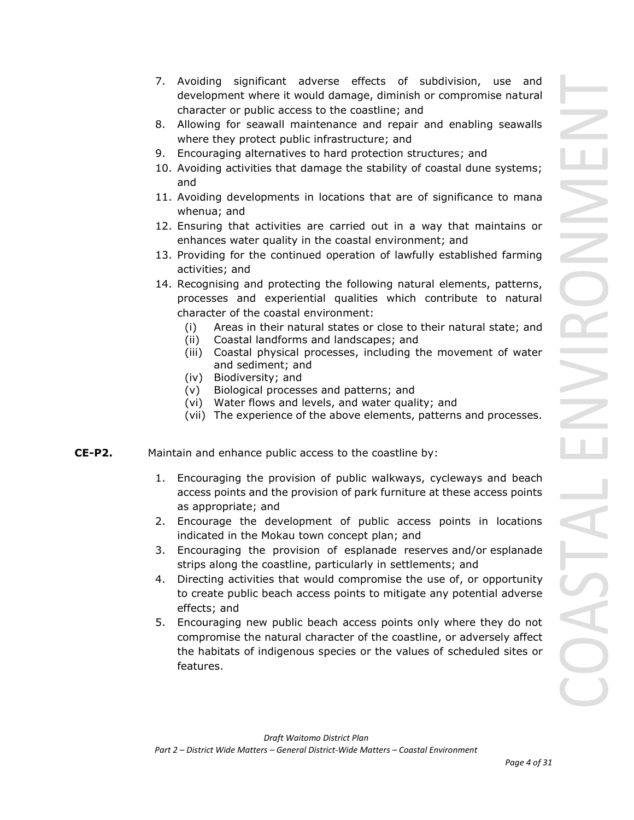- 7. Avoiding significant adverse effects of subdivision, use and development where it would damage, diminish or compromise natural character or public access to the coastline; and
- 8. Allowing for seawall maintenance and repair and enabling seawalls where they protect public infrastructure; and
- 9. Encouraging alternatives to hard protection structures; and
- 10. Avoiding activities that damage the stability of coastal dune systems; and
- 11. Avoiding developments in locations that are of significance to mana whenua; and
- 12. Ensuring that activities are carried out in a way that maintains or enhances water quality in the coastal environment; and
- 13. Providing for the continued operation of lawfully established farming activities; and
- 14. Recognising and protecting the following natural elements, patterns, processes and experiential qualities which contribute to natural character of the coastal environment:
	- (i) Areas in their natural states or close to their natural state; and
	- (ii) Coastal landforms and landscapes; and
	- (iii) Coastal physical processes, including the movement of water and sediment; and
	- (iv) Biodiversity; and
	- (v) Biological processes and patterns; and
	- (vi) Water flows and levels, and water quality; and
	- (vii) The experience of the above elements, patterns and processes.
- **CE-P2.** Maintain and enhance public access to the coastline by:
	- 1. Encouraging the provision of public walkways, cycleways and beach access points and the provision of park furniture at these access points as appropriate; and
	- 2. Encourage the development of public access points in locations indicated in the Mokau town concept plan; and
	- 3. Encouraging the provision of esplanade reserves and/or esplanade strips along the coastline, particularly in settlements; and
	- 4. Directing activities that would compromise the use of, or opportunity to create public beach access points to mitigate any potential adverse effects; and
	- 5. Encouraging new public beach access points only where they do not compromise the natural character of the coastline, or adversely affect the habitats of indigenous species or the values of scheduled sites or features.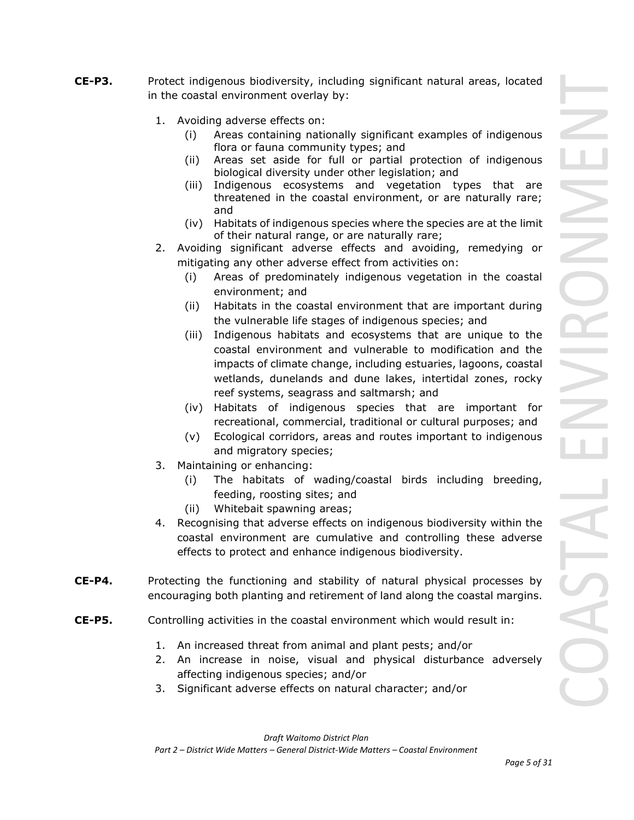- **CE-P3.** Protect indigenous biodiversity, including significant natural areas, located in the coastal environment overlay by:
	- 1. Avoiding adverse effects on:
		- (i) Areas containing nationally significant examples of indigenous flora or fauna community types; and
		- (ii) Areas set aside for full or partial protection of indigenous biological diversity under other legislation; and
		- (iii) Indigenous ecosystems and vegetation types that are threatened in the coastal environment, or are naturally rare; and
		- (iv) Habitats of indigenous species where the species are at the limit of their natural range, or are naturally rare;
	- 2. Avoiding significant adverse effects and avoiding, remedying or mitigating any other adverse effect from activities on:
		- (i) Areas of predominately indigenous vegetation in the coastal environment; and
		- (ii) Habitats in the coastal environment that are important during the vulnerable life stages of indigenous species; and
		- (iii) Indigenous habitats and ecosystems that are unique to the coastal environment and vulnerable to modification and the impacts of climate change, including estuaries, lagoons, coastal wetlands, dunelands and dune lakes, intertidal zones, rocky reef systems, seagrass and saltmarsh; and
		- (iv) Habitats of indigenous species that are important for recreational, commercial, traditional or cultural purposes; and
		- (v) Ecological corridors, areas and routes important to indigenous and migratory species;
	- 3. Maintaining or enhancing:
		- (i) The habitats of wading/coastal birds including breeding, feeding, roosting sites; and
		- (ii) Whitebait spawning areas;
	- 4. Recognising that adverse effects on indigenous biodiversity within the coastal environment are cumulative and controlling these adverse effects to protect and enhance indigenous biodiversity.
- **CE-P4.** Protecting the functioning and stability of natural physical processes by encouraging both planting and retirement of land along the coastal margins.
- **CE-P5.** Controlling activities in the coastal environment which would result in:
	- 1. An increased threat from animal and plant pests; and/or
	- 2. An increase in noise, visual and physical disturbance adversely affecting indigenous species; and/or
	- 3. Significant adverse effects on natural character; and/or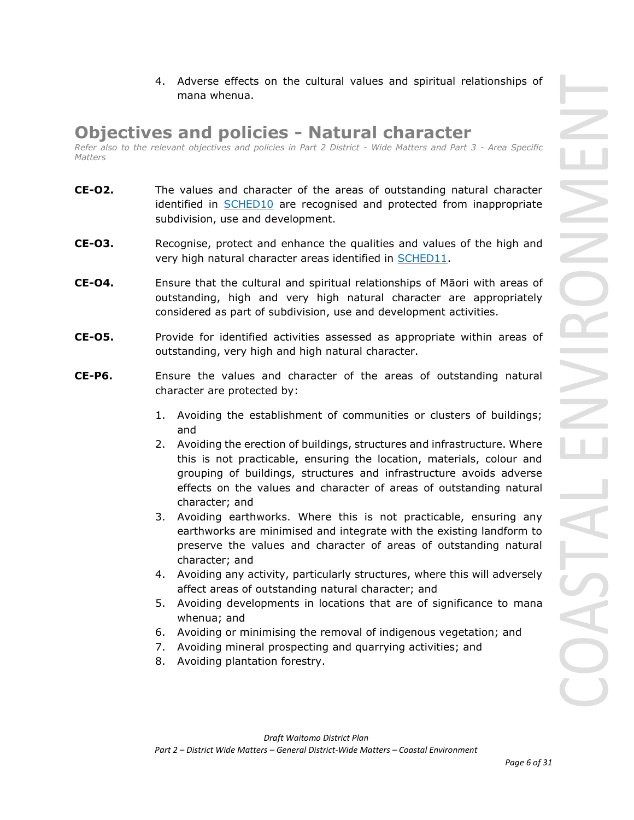4. Adverse effects on the cultural values and spiritual relationships of mana whenua.

## **Objectives and policies - Natural character**

*Refer also to the relevant objectives and policies in Part 2 District - Wide Matters and Part 3 - Area Specific Matters*

- **CE-O2.** The values and character of the areas of outstanding natural character identified in [SCHED10](javascript:void(0)) are recognised and protected from inappropriate subdivision, use and development.
- **CE-O3.** Recognise, protect and enhance the qualities and values of the high and very high natural character areas identified in [SCHED11.](javascript:void(0))
- **CE-O4.** Ensure that the cultural and spiritual relationships of Māori with areas of outstanding, high and very high natural character are appropriately considered as part of subdivision, use and development activities.
- **CE-O5.** Provide for identified activities assessed as appropriate within areas of outstanding, very high and high natural character.
- **CE-P6.** Ensure the values and character of the areas of outstanding natural character are protected by:
	- 1. Avoiding the establishment of communities or clusters of buildings; and
	- 2. Avoiding the erection of buildings, structures and infrastructure. Where this is not practicable, ensuring the location, materials, colour and grouping of buildings, structures and infrastructure avoids adverse effects on the values and character of areas of outstanding natural character; and
	- 3. Avoiding earthworks. Where this is not practicable, ensuring any earthworks are minimised and integrate with the existing landform to preserve the values and character of areas of outstanding natural character; and
	- 4. Avoiding any activity, particularly structures, where this will adversely affect areas of outstanding natural character; and
	- 5. Avoiding developments in locations that are of significance to mana whenua; and
	- 6. Avoiding or minimising the removal of indigenous vegetation; and
	- 7. Avoiding mineral prospecting and quarrying activities; and
	- 8. Avoiding plantation forestry.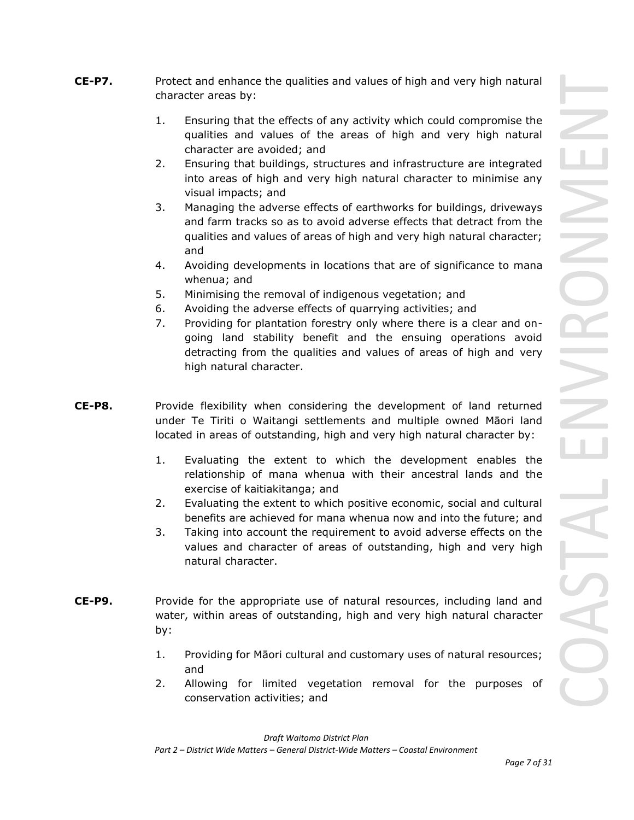- **CE-P7.** Protect and enhance the qualities and values of high and very high natural character areas by:
	- 1. Ensuring that the effects of any activity which could compromise the qualities and values of the areas of high and very high natural character are avoided; and
	- 2. Ensuring that buildings, structures and infrastructure are integrated into areas of high and very high natural character to minimise any visual impacts; and
	- 3. Managing the adverse effects of earthworks for buildings, driveways and farm tracks so as to avoid adverse effects that detract from the qualities and values of areas of high and very high natural character; and
	- 4. Avoiding developments in locations that are of significance to mana whenua; and
	- 5. Minimising the removal of indigenous vegetation; and
	- 6. Avoiding the adverse effects of quarrying activities; and
	- 7. Providing for plantation forestry only where there is a clear and ongoing land stability benefit and the ensuing operations avoid detracting from the qualities and values of areas of high and very high natural character.
- **CE-P8.** Provide flexibility when considering the development of land returned under Te Tiriti o Waitangi settlements and multiple owned Māori land located in areas of outstanding, high and very high natural character by:
	- 1. Evaluating the extent to which the development enables the relationship of mana whenua with their ancestral lands and the exercise of kaitiakitanga; and
	- 2. Evaluating the extent to which positive economic, social and cultural benefits are achieved for mana whenua now and into the future; and
	- 3. Taking into account the requirement to avoid adverse effects on the values and character of areas of outstanding, high and very high natural character.
- **CE-P9.** Provide for the appropriate use of natural resources, including land and water, within areas of outstanding, high and very high natural character by:
	- 1. Providing for Māori cultural and customary uses of natural resources; and
	- 2. Allowing for limited vegetation removal for the purposes of conservation activities; and

*Draft Waitomo District Plan*

*Part 2 – District Wide Matters – General District-Wide Matters – Coastal Environment*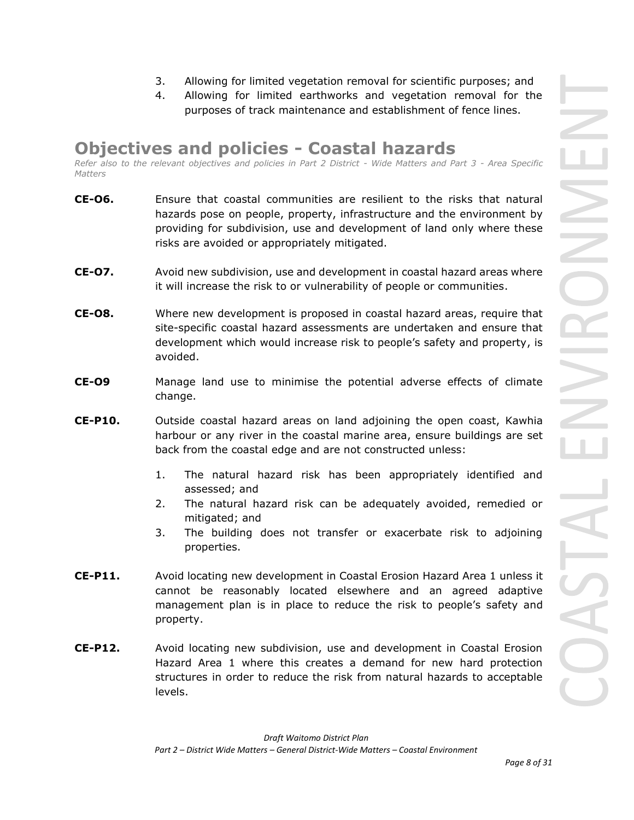- 3. Allowing for limited vegetation removal for scientific purposes; and
- 4. Allowing for limited earthworks and vegetation removal for the purposes of track maintenance and establishment of fence lines.

# **Objectives and policies - Coastal hazards**

*Refer also to the relevant objectives and policies in Part 2 District - Wide Matters and Part 3 - Area Specific Matters*

- **CE-O6.** Ensure that coastal communities are resilient to the risks that natural hazards pose on people, property, infrastructure and the environment by providing for subdivision, use and development of land only where these risks are avoided or appropriately mitigated.
- **CE-O7.** Avoid new subdivision, use and development in coastal hazard areas where it will increase the risk to or vulnerability of people or communities.
- **CE-O8.** Where new development is proposed in coastal hazard areas, require that site-specific coastal hazard assessments are undertaken and ensure that development which would increase risk to people's safety and property, is avoided.
- **CE-O9** Manage land use to minimise the potential adverse effects of climate change.
- **CE-P10.** Outside coastal hazard areas on land adjoining the open coast, Kawhia harbour or any river in the coastal marine area, ensure buildings are set back from the coastal edge and are not constructed unless:
	- 1. The natural hazard risk has been appropriately identified and assessed; and
	- 2. The natural hazard risk can be adequately avoided, remedied or mitigated; and
	- 3. The building does not transfer or exacerbate risk to adjoining properties.
- **CE-P11.** Avoid locating new development in Coastal Erosion Hazard Area 1 unless it cannot be reasonably located elsewhere and an agreed adaptive management plan is in place to reduce the risk to people's safety and property.
- **CE-P12.** Avoid locating new subdivision, use and development in Coastal Erosion Hazard Area 1 where this creates a demand for new hard protection structures in order to reduce the risk from natural hazards to acceptable levels.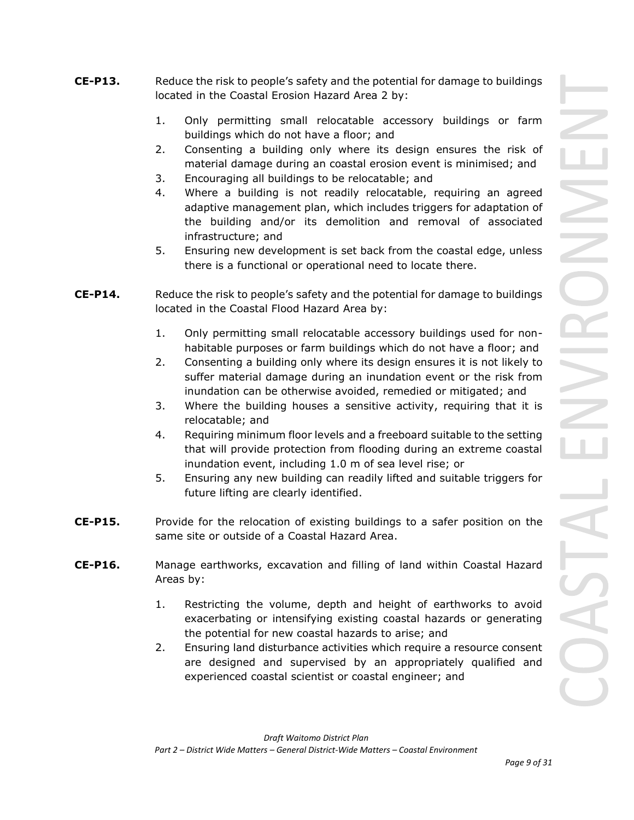- **CE-P13.** Reduce the risk to people's safety and the potential for damage to buildings located in the Coastal Erosion Hazard Area 2 by:
	- 1. Only permitting small relocatable accessory buildings or farm buildings which do not have a floor; and
	- 2. Consenting a building only where its design ensures the risk of material damage during an coastal erosion event is minimised; and
	- 3. Encouraging all buildings to be relocatable; and
	- 4. Where a building is not readily relocatable, requiring an agreed adaptive management plan, which includes triggers for adaptation of the building and/or its demolition and removal of associated infrastructure; and
	- 5. Ensuring new development is set back from the coastal edge, unless there is a functional or operational need to locate there.
- **CE-P14.** Reduce the risk to people's safety and the potential for damage to buildings located in the Coastal Flood Hazard Area by:
	- 1. Only permitting small relocatable accessory buildings used for nonhabitable purposes or farm buildings which do not have a floor; and
	- 2. Consenting a building only where its design ensures it is not likely to suffer material damage during an inundation event or the risk from inundation can be otherwise avoided, remedied or mitigated; and
	- 3. Where the building houses a sensitive activity, requiring that it is relocatable; and
	- 4. Requiring minimum floor levels and a freeboard suitable to the setting that will provide protection from flooding during an extreme coastal inundation event, including 1.0 m of sea level rise; or
	- 5. Ensuring any new building can readily lifted and suitable triggers for future lifting are clearly identified.
- **CE-P15.** Provide for the relocation of existing buildings to a safer position on the same site or outside of a Coastal Hazard Area.
- **CE-P16.** Manage earthworks, excavation and filling of land within Coastal Hazard Areas by:
	- 1. Restricting the volume, depth and height of earthworks to avoid exacerbating or intensifying existing coastal hazards or generating the potential for new coastal hazards to arise; and
	- 2. Ensuring land disturbance activities which require a resource consent are designed and supervised by an appropriately qualified and experienced coastal scientist or coastal engineer; and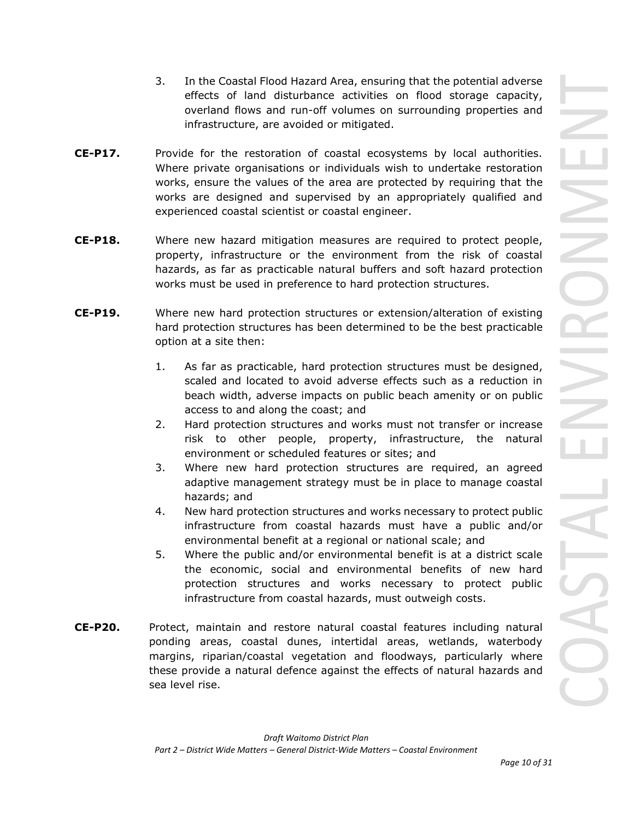- 3. In the Coastal Flood Hazard Area, ensuring that the potential adverse effects of land disturbance activities on flood storage capacity, overland flows and run-off volumes on surrounding properties and infrastructure, are avoided or mitigated.
- **CE-P17.** Provide for the restoration of coastal ecosystems by local authorities. Where private organisations or individuals wish to undertake restoration works, ensure the values of the area are protected by requiring that the works are designed and supervised by an appropriately qualified and experienced coastal scientist or coastal engineer.
- **CE-P18.** Where new hazard mitigation measures are required to protect people, property, infrastructure or the environment from the risk of coastal hazards, as far as practicable natural buffers and soft hazard protection works must be used in preference to hard protection structures.
- **CE-P19.** Where new hard protection structures or extension/alteration of existing hard protection structures has been determined to be the best practicable option at a site then:
	- 1. As far as practicable, hard protection structures must be designed, scaled and located to avoid adverse effects such as a reduction in beach width, adverse impacts on public beach amenity or on public access to and along the coast; and
	- 2. Hard protection structures and works must not transfer or increase risk to other people, property, infrastructure, the natural environment or scheduled features or sites; and
	- 3. Where new hard protection structures are required, an agreed adaptive management strategy must be in place to manage coastal hazards; and
	- 4. New hard protection structures and works necessary to protect public infrastructure from coastal hazards must have a public and/or environmental benefit at a regional or national scale; and
	- 5. Where the public and/or environmental benefit is at a district scale the economic, social and environmental benefits of new hard protection structures and works necessary to protect public infrastructure from coastal hazards, must outweigh costs.
- **CE-P20.** Protect, maintain and restore natural coastal features including natural ponding areas, coastal dunes, intertidal areas, wetlands, waterbody margins, riparian/coastal vegetation and floodways, particularly where these provide a natural defence against the effects of natural hazards and sea level rise.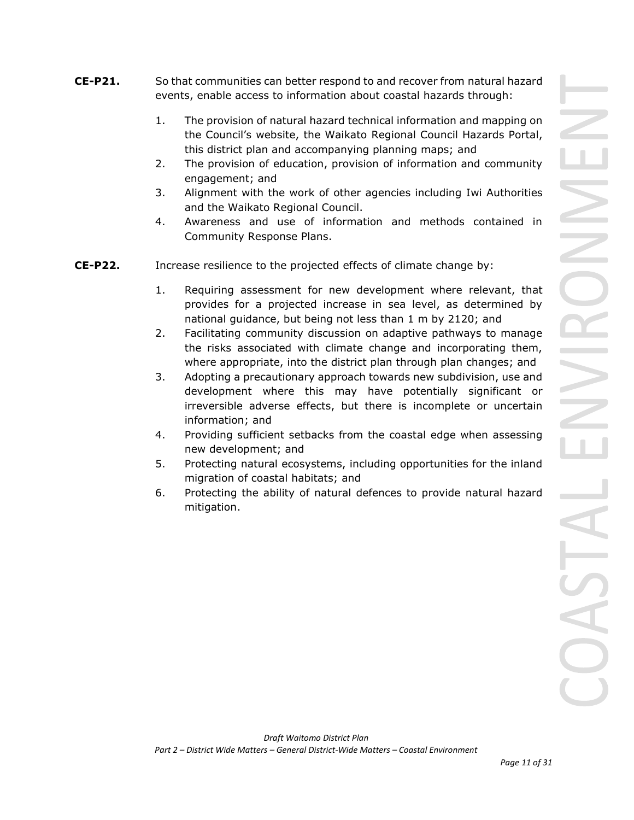- **CE-P21.** So that communities can better respond to and recover from natural hazard events, enable access to information about coastal hazards through:
	- 1. The provision of natural hazard technical information and mapping on the Council's website, the Waikato Regional Council Hazards Portal, this district plan and accompanying planning maps; and
	- 2. The provision of education, provision of information and community engagement; and
	- 3. Alignment with the work of other agencies including Iwi Authorities and the Waikato Regional Council.
	- 4. Awareness and use of information and methods contained in Community Response Plans.
- **CE-P22.** Increase resilience to the projected effects of climate change by:
	- 1. Requiring assessment for new development where relevant, that provides for a projected increase in sea level, as determined by national guidance, but being not less than 1 m by 2120; and
	- 2. Facilitating community discussion on adaptive pathways to manage the risks associated with climate change and incorporating them, where appropriate, into the district plan through plan changes; and
	- 3. Adopting a precautionary approach towards new subdivision, use and development where this may have potentially significant or irreversible adverse effects, but there is incomplete or uncertain information; and
	- 4. Providing sufficient setbacks from the coastal edge when assessing new development; and
	- 5. Protecting natural ecosystems, including opportunities for the inland migration of coastal habitats; and
	- 6. Protecting the ability of natural defences to provide natural hazard mitigation.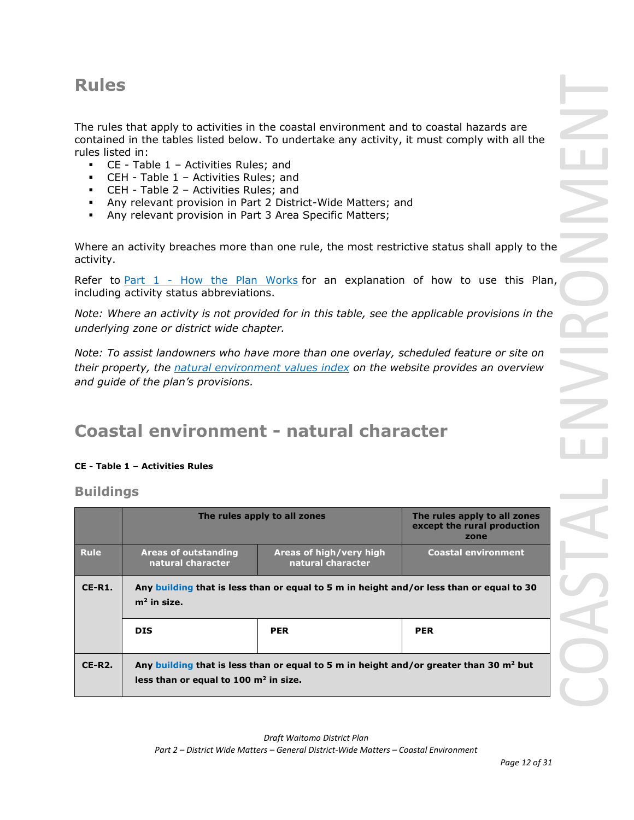# **Rules**

The rules that apply to activities in the coastal environment and to coastal hazards are contained in the tables listed below. To undertake any activity, it must comply with all the rules listed in:

- CE Table 1 Activities Rules; and
- CEH Table 1 Activities Rules; and
- CEH Table 2 Activities Rules; and
- Any relevant provision in Part 2 District-Wide Matters; and
- Any relevant provision in Part 3 Area Specific Matters;

Where an activity breaches more than one rule, the most restrictive status shall apply to the activity.

Refer to [Part 1](javascript:void(0)) - How the Plan Works for an explanation of how to use this Plan, including activity status abbreviations.

*Note: Where an activity is not provided for in this table, see the applicable provisions in the underlying zone or district wide chapter.*

*Note: To assist landowners who have more than one overlay, scheduled feature or site on their property, the natural environment values index on the website provides an overview and guide of the plan's provisions.*

# **Coastal environment - natural character**

## **CE - Table 1 – Activities Rules**

**Buildings** 

|             |                                                                                                                                     | The rules apply to all zones                 | The rules apply to all zones<br>except the rural production<br>zone |
|-------------|-------------------------------------------------------------------------------------------------------------------------------------|----------------------------------------------|---------------------------------------------------------------------|
| <b>Rule</b> | Areas of outstanding<br>natural character                                                                                           | Areas of high/very high<br>natural character | <b>Coastal environment</b>                                          |
| $CE-R1.$    | Any building that is less than or equal to 5 m in height and/or less than or equal to 30<br>$m2$ in size.                           |                                              |                                                                     |
|             | <b>DIS</b>                                                                                                                          | <b>PER</b>                                   | <b>PER</b>                                                          |
| $CE-R2.$    | Any building that is less than or equal to 5 m in height and/or greater than 30 $m2$ but<br>less than or equal to 100 $m2$ in size. |                                              |                                                                     |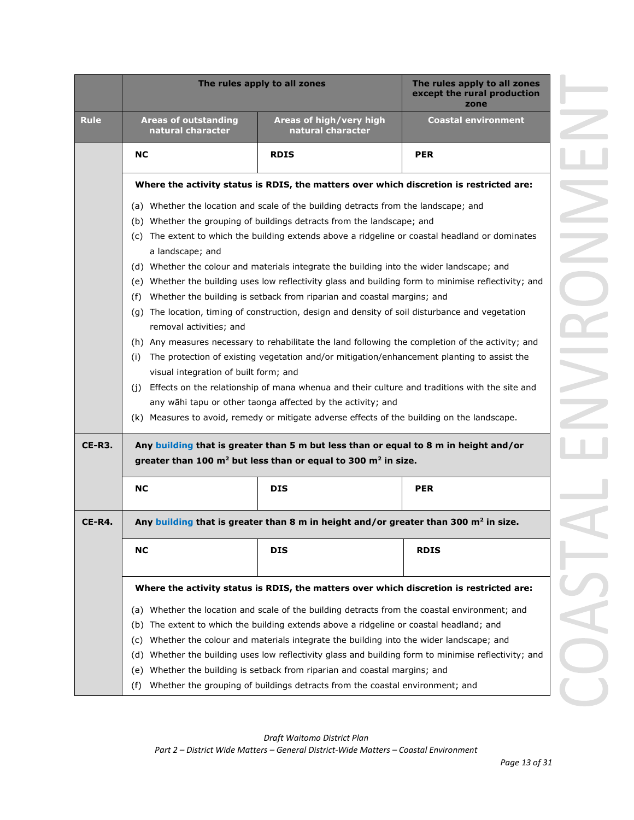|             | The rules apply to all zones                                                                                                                                                                                                                                                                                                                                                                                     | The rules apply to all zones<br>except the rural production<br>zone                               |                            |  |
|-------------|------------------------------------------------------------------------------------------------------------------------------------------------------------------------------------------------------------------------------------------------------------------------------------------------------------------------------------------------------------------------------------------------------------------|---------------------------------------------------------------------------------------------------|----------------------------|--|
| <b>Rule</b> | <b>Areas of outstanding</b><br>natural character                                                                                                                                                                                                                                                                                                                                                                 | Areas of high/very high<br>natural character                                                      | <b>Coastal environment</b> |  |
|             | <b>NC</b>                                                                                                                                                                                                                                                                                                                                                                                                        | <b>RDIS</b>                                                                                       | <b>PER</b>                 |  |
|             |                                                                                                                                                                                                                                                                                                                                                                                                                  | Where the activity status is RDIS, the matters over which discretion is restricted are:           |                            |  |
|             |                                                                                                                                                                                                                                                                                                                                                                                                                  | (a) Whether the location and scale of the building detracts from the landscape; and               |                            |  |
|             | (b) Whether the grouping of buildings detracts from the landscape; and                                                                                                                                                                                                                                                                                                                                           |                                                                                                   |                            |  |
|             | (c) The extent to which the building extends above a ridgeline or coastal headland or dominates<br>a landscape; and                                                                                                                                                                                                                                                                                              |                                                                                                   |                            |  |
|             |                                                                                                                                                                                                                                                                                                                                                                                                                  | (d) Whether the colour and materials integrate the building into the wider landscape; and         |                            |  |
|             | (e) Whether the building uses low reflectivity glass and building form to minimise reflectivity; and                                                                                                                                                                                                                                                                                                             |                                                                                                   |                            |  |
|             | (f)                                                                                                                                                                                                                                                                                                                                                                                                              | Whether the building is setback from riparian and coastal margins; and                            |                            |  |
|             | (g) The location, timing of construction, design and density of soil disturbance and vegetation<br>removal activities; and                                                                                                                                                                                                                                                                                       |                                                                                                   |                            |  |
|             |                                                                                                                                                                                                                                                                                                                                                                                                                  | (h) Any measures necessary to rehabilitate the land following the completion of the activity; and |                            |  |
|             | The protection of existing vegetation and/or mitigation/enhancement planting to assist the<br>(i)<br>visual integration of built form; and<br>Effects on the relationship of mana whenua and their culture and traditions with the site and<br>(i)<br>any wāhi tapu or other taonga affected by the activity; and<br>(k) Measures to avoid, remedy or mitigate adverse effects of the building on the landscape. |                                                                                                   |                            |  |
|             |                                                                                                                                                                                                                                                                                                                                                                                                                  |                                                                                                   |                            |  |
|             |                                                                                                                                                                                                                                                                                                                                                                                                                  |                                                                                                   |                            |  |
|             |                                                                                                                                                                                                                                                                                                                                                                                                                  |                                                                                                   |                            |  |
|             |                                                                                                                                                                                                                                                                                                                                                                                                                  |                                                                                                   |                            |  |
| $CE-R3.$    |                                                                                                                                                                                                                                                                                                                                                                                                                  | Any building that is greater than 5 m but less than or equal to 8 m in height and/or              |                            |  |
|             |                                                                                                                                                                                                                                                                                                                                                                                                                  | greater than 100 m <sup>2</sup> but less than or equal to 300 m <sup>2</sup> in size.             |                            |  |
|             | <b>NC</b><br><b>DIS</b><br><b>PER</b>                                                                                                                                                                                                                                                                                                                                                                            |                                                                                                   |                            |  |
| $CE-R4.$    | Any building that is greater than 8 m in height and/or greater than 300 $m2$ in size.                                                                                                                                                                                                                                                                                                                            |                                                                                                   |                            |  |
|             |                                                                                                                                                                                                                                                                                                                                                                                                                  |                                                                                                   |                            |  |
|             | NC                                                                                                                                                                                                                                                                                                                                                                                                               | DIS                                                                                               | <b>RDIS</b>                |  |
|             |                                                                                                                                                                                                                                                                                                                                                                                                                  | Where the activity status is RDIS, the matters over which discretion is restricted are:           |                            |  |
|             |                                                                                                                                                                                                                                                                                                                                                                                                                  | (a) Whether the location and scale of the building detracts from the coastal environment; and     |                            |  |
|             |                                                                                                                                                                                                                                                                                                                                                                                                                  | (b) The extent to which the building extends above a ridgeline or coastal headland; and           |                            |  |
|             | (C)                                                                                                                                                                                                                                                                                                                                                                                                              | Whether the colour and materials integrate the building into the wider landscape; and             |                            |  |
|             | (d)                                                                                                                                                                                                                                                                                                                                                                                                              | Whether the building uses low reflectivity glass and building form to minimise reflectivity; and  |                            |  |
|             | (e)                                                                                                                                                                                                                                                                                                                                                                                                              | Whether the building is setback from riparian and coastal margins; and                            |                            |  |

COASTAL ENVIRONIMEN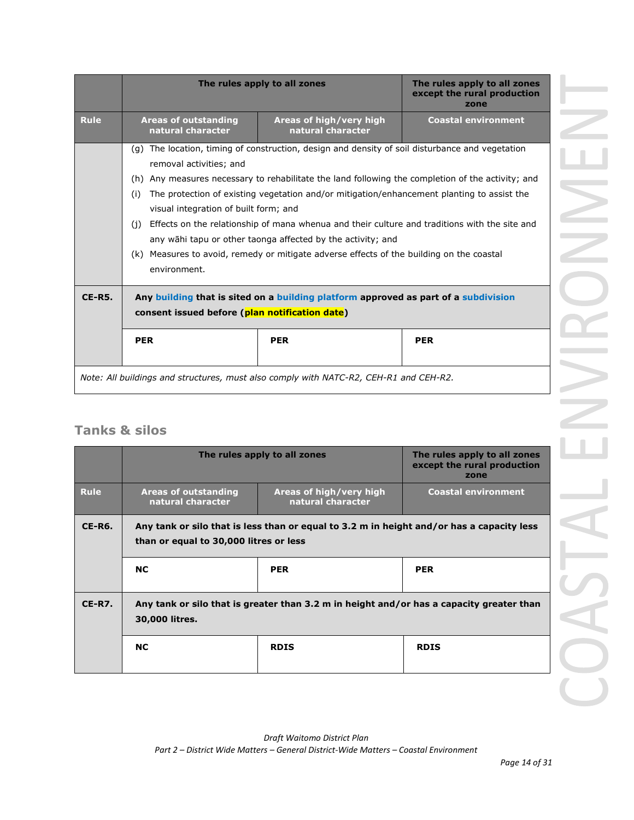|               |                                                                                                                                                                                                                                                                                                                                                                                                                                                                                                                                                                                                                                                  | The rules apply to all zones                                                                                                                                                               | The rules apply to all zones<br>except the rural production<br>zone |
|---------------|--------------------------------------------------------------------------------------------------------------------------------------------------------------------------------------------------------------------------------------------------------------------------------------------------------------------------------------------------------------------------------------------------------------------------------------------------------------------------------------------------------------------------------------------------------------------------------------------------------------------------------------------------|--------------------------------------------------------------------------------------------------------------------------------------------------------------------------------------------|---------------------------------------------------------------------|
| <b>Rule</b>   | <b>Areas of outstanding</b><br>natural character                                                                                                                                                                                                                                                                                                                                                                                                                                                                                                                                                                                                 | Areas of high/very high<br>natural character                                                                                                                                               | <b>Coastal environment</b>                                          |
|               | (q) The location, timing of construction, design and density of soil disturbance and vegetation<br>removal activities; and<br>(h) Any measures necessary to rehabilitate the land following the completion of the activity; and<br>The protection of existing vegetation and/or mitigation/enhancement planting to assist the<br>(i)<br>visual integration of built form; and<br>Effects on the relationship of mana whenua and their culture and traditions with the site and<br>(i)<br>any wahi tapu or other taonga affected by the activity; and<br>(k) Measures to avoid, remedy or mitigate adverse effects of the building on the coastal |                                                                                                                                                                                            |                                                                     |
| <b>CE-R5.</b> | environment.<br>consent issued before (plan notification date)<br><b>PER</b>                                                                                                                                                                                                                                                                                                                                                                                                                                                                                                                                                                     | Any building that is sited on a building platform approved as part of a subdivision<br><b>PER</b><br>Note: All buildings and structures, must also comply with NATC-R2, CEH-R1 and CEH-R2. | <b>PER</b>                                                          |

## **Tanks & silos**

|             | The rules apply to all zones                                                                                                        |                                              | The rules apply to all zones<br>except the rural production<br>zone |
|-------------|-------------------------------------------------------------------------------------------------------------------------------------|----------------------------------------------|---------------------------------------------------------------------|
| <b>Rule</b> | <b>Areas of outstanding</b><br>natural character                                                                                    | Areas of high/very high<br>natural character | <b>Coastal environment</b>                                          |
| CE-R6.      | Any tank or silo that is less than or equal to 3.2 m in height and/or has a capacity less<br>than or equal to 30,000 litres or less |                                              |                                                                     |
|             | <b>NC</b>                                                                                                                           | <b>PER</b>                                   | <b>PER</b>                                                          |
| $CE-R7.$    | Any tank or silo that is greater than 3.2 m in height and/or has a capacity greater than<br>30,000 litres.                          |                                              |                                                                     |
|             | <b>NC</b>                                                                                                                           | <b>RDIS</b>                                  | <b>RDIS</b>                                                         |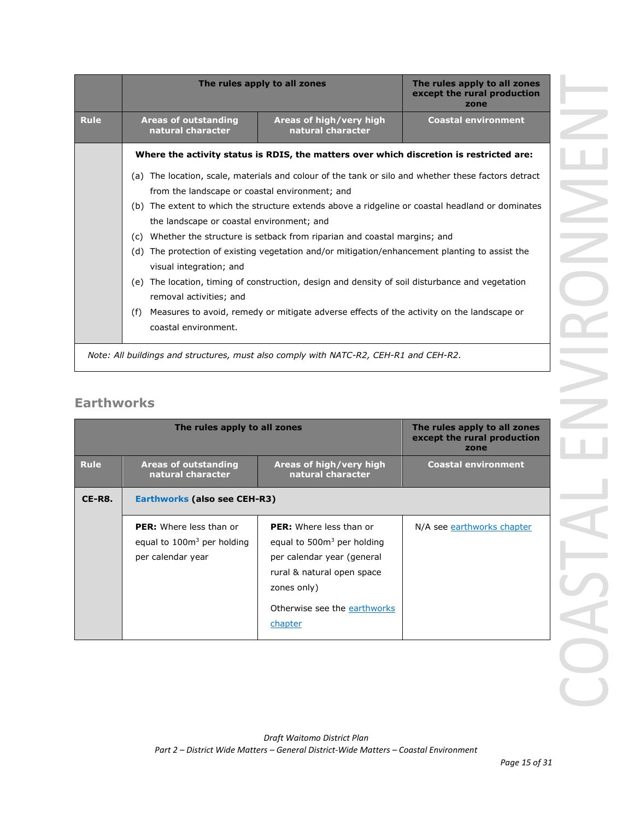|             |                                                  | The rules apply to all zones                                                                        | The rules apply to all zones<br>except the rural production<br>zone |
|-------------|--------------------------------------------------|-----------------------------------------------------------------------------------------------------|---------------------------------------------------------------------|
| <b>Rule</b> | <b>Areas of outstanding</b><br>natural character | Areas of high/very high<br>natural character                                                        | <b>Coastal environment</b>                                          |
|             |                                                  | Where the activity status is RDIS, the matters over which discretion is restricted are:             |                                                                     |
|             | from the landscape or coastal environment; and   | (a) The location, scale, materials and colour of the tank or silo and whether these factors detract |                                                                     |
|             | the landscape or coastal environment; and        | (b) The extent to which the structure extends above a ridgeline or coastal headland or dominates    |                                                                     |
|             |                                                  | (c) Whether the structure is setback from riparian and coastal margins; and                         |                                                                     |
|             | (d)<br>visual integration; and                   | The protection of existing vegetation and/or mitigation/enhancement planting to assist the          |                                                                     |
|             | (e)<br>removal activities; and                   | The location, timing of construction, design and density of soil disturbance and vegetation         |                                                                     |
|             | (f)<br>coastal environment.                      | Measures to avoid, remedy or mitigate adverse effects of the activity on the landscape or           |                                                                     |

## **Earthworks**

|             | The rules apply to all zones                                                        |                                                                                                                                                                                     | The rules apply to all zones<br>except the rural production<br>zone |
|-------------|-------------------------------------------------------------------------------------|-------------------------------------------------------------------------------------------------------------------------------------------------------------------------------------|---------------------------------------------------------------------|
| <b>Rule</b> | <b>Areas of outstanding</b><br>natural character                                    | Areas of high/very high<br>natural character                                                                                                                                        | <b>Coastal environment</b>                                          |
| CE-R8.      | Earthworks (also see CEH-R3)                                                        |                                                                                                                                                                                     |                                                                     |
|             | <b>PER:</b> Where less than or<br>equal to $100m3$ per holding<br>per calendar year | <b>PER:</b> Where less than or<br>equal to $5003$ per holding<br>per calendar year (general<br>rural & natural open space<br>zones only)<br>Otherwise see the earthworks<br>chapter | N/A see earthworks chapter                                          |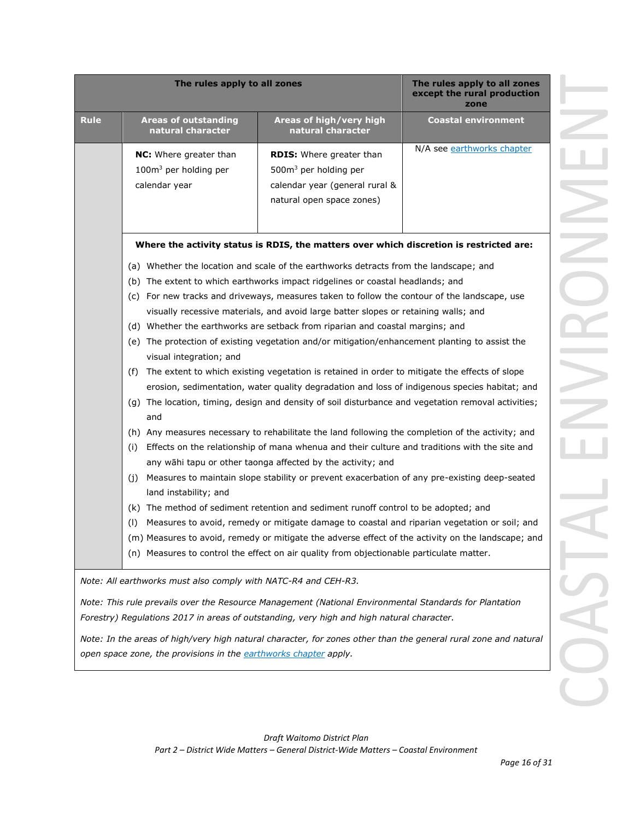|             | The rules apply to all zones                                                        |                                                                                                                                                                                                                                                                                                                                                                                                                                                                                                                                                                                                                                                                                                                                                                                                                                                                                                                                                                                                                                                                                                                                                                                                                                                                                                                                                                                                                                                                                                                                                                                                                          | The rules apply to all zones<br>except the rural production<br>zone |
|-------------|-------------------------------------------------------------------------------------|--------------------------------------------------------------------------------------------------------------------------------------------------------------------------------------------------------------------------------------------------------------------------------------------------------------------------------------------------------------------------------------------------------------------------------------------------------------------------------------------------------------------------------------------------------------------------------------------------------------------------------------------------------------------------------------------------------------------------------------------------------------------------------------------------------------------------------------------------------------------------------------------------------------------------------------------------------------------------------------------------------------------------------------------------------------------------------------------------------------------------------------------------------------------------------------------------------------------------------------------------------------------------------------------------------------------------------------------------------------------------------------------------------------------------------------------------------------------------------------------------------------------------------------------------------------------------------------------------------------------------|---------------------------------------------------------------------|
| <b>Rule</b> | <b>Areas of outstanding</b><br>natural character                                    | Areas of high/very high<br>natural character                                                                                                                                                                                                                                                                                                                                                                                                                                                                                                                                                                                                                                                                                                                                                                                                                                                                                                                                                                                                                                                                                                                                                                                                                                                                                                                                                                                                                                                                                                                                                                             | <b>Coastal environment</b>                                          |
|             | <b>NC:</b> Where greater than<br>100m <sup>3</sup> per holding per<br>calendar year | <b>RDIS:</b> Where greater than<br>500m <sup>3</sup> per holding per<br>calendar year (general rural &<br>natural open space zones)                                                                                                                                                                                                                                                                                                                                                                                                                                                                                                                                                                                                                                                                                                                                                                                                                                                                                                                                                                                                                                                                                                                                                                                                                                                                                                                                                                                                                                                                                      | N/A see earthworks chapter                                          |
|             |                                                                                     | Where the activity status is RDIS, the matters over which discretion is restricted are:                                                                                                                                                                                                                                                                                                                                                                                                                                                                                                                                                                                                                                                                                                                                                                                                                                                                                                                                                                                                                                                                                                                                                                                                                                                                                                                                                                                                                                                                                                                                  |                                                                     |
|             | visual integration; and<br>(f)<br>and<br>(i)<br>(j)<br>land instability; and<br>(1) | (a) Whether the location and scale of the earthworks detracts from the landscape; and<br>(b) The extent to which earthworks impact ridgelines or coastal headlands; and<br>(c) For new tracks and driveways, measures taken to follow the contour of the landscape, use<br>visually recessive materials, and avoid large batter slopes or retaining walls; and<br>(d) Whether the earthworks are setback from riparian and coastal margins; and<br>(e) The protection of existing vegetation and/or mitigation/enhancement planting to assist the<br>The extent to which existing vegetation is retained in order to mitigate the effects of slope<br>erosion, sedimentation, water quality degradation and loss of indigenous species habitat; and<br>(g) The location, timing, design and density of soil disturbance and vegetation removal activities;<br>(h) Any measures necessary to rehabilitate the land following the completion of the activity; and<br>Effects on the relationship of mana whenua and their culture and traditions with the site and<br>any wāhi tapu or other taonga affected by the activity; and<br>Measures to maintain slope stability or prevent exacerbation of any pre-existing deep-seated<br>(k) The method of sediment retention and sediment runoff control to be adopted; and<br>Measures to avoid, remedy or mitigate damage to coastal and riparian vegetation or soil; and<br>(m) Measures to avoid, remedy or mitigate the adverse effect of the activity on the landscape; and<br>(n) Measures to control the effect on air quality from objectionable particulate matter. |                                                                     |
|             | Note: All earthworks must also comply with NATC-R4 and CEH-R3.                      |                                                                                                                                                                                                                                                                                                                                                                                                                                                                                                                                                                                                                                                                                                                                                                                                                                                                                                                                                                                                                                                                                                                                                                                                                                                                                                                                                                                                                                                                                                                                                                                                                          |                                                                     |
|             |                                                                                     | Note: This rule prevails over the Resource Management (National Environmental Standards for Plantation<br>Forestry) Regulations 2017 in areas of outstanding, very high and high natural character.                                                                                                                                                                                                                                                                                                                                                                                                                                                                                                                                                                                                                                                                                                                                                                                                                                                                                                                                                                                                                                                                                                                                                                                                                                                                                                                                                                                                                      |                                                                     |
|             | open space zone, the provisions in the earthworks chapter apply.                    | Note: In the areas of high/very high natural character, for zones other than the general rural zone and natural                                                                                                                                                                                                                                                                                                                                                                                                                                                                                                                                                                                                                                                                                                                                                                                                                                                                                                                                                                                                                                                                                                                                                                                                                                                                                                                                                                                                                                                                                                          |                                                                     |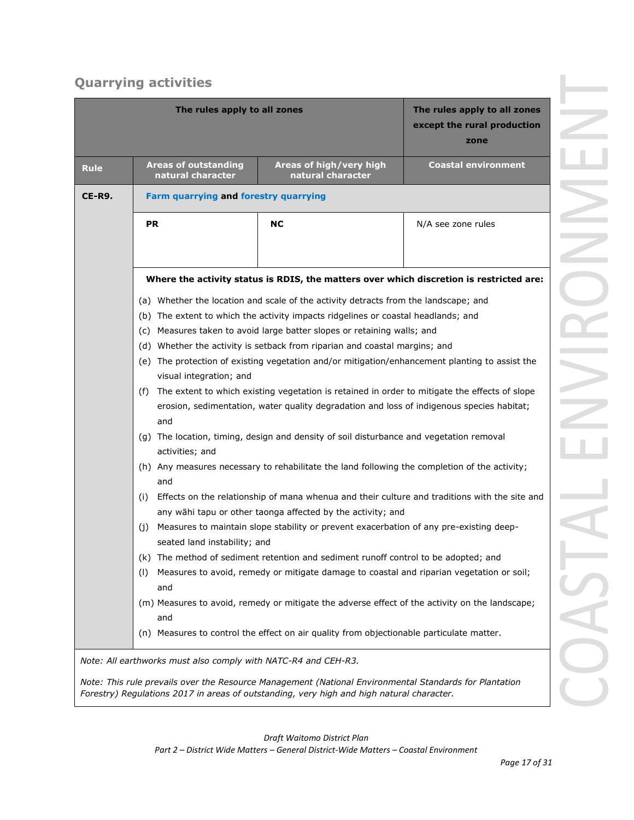# **Quarrying activities**

|             | The rules apply to all zones                                                                                                                                        |                                                                                                                                                                                                     | The rules apply to all zones<br>except the rural production<br>zone |  |
|-------------|---------------------------------------------------------------------------------------------------------------------------------------------------------------------|-----------------------------------------------------------------------------------------------------------------------------------------------------------------------------------------------------|---------------------------------------------------------------------|--|
| <b>Rule</b> | <b>Areas of outstanding</b><br>natural character                                                                                                                    | Areas of high/very high<br>natural character                                                                                                                                                        | <b>Coastal environment</b>                                          |  |
| CE-R9.      | <b>Farm quarrying and forestry quarrying</b>                                                                                                                        |                                                                                                                                                                                                     |                                                                     |  |
|             | <b>PR</b>                                                                                                                                                           | <b>NC</b>                                                                                                                                                                                           | N/A see zone rules                                                  |  |
|             |                                                                                                                                                                     |                                                                                                                                                                                                     |                                                                     |  |
|             |                                                                                                                                                                     | Where the activity status is RDIS, the matters over which discretion is restricted are:                                                                                                             |                                                                     |  |
|             |                                                                                                                                                                     | (a) Whether the location and scale of the activity detracts from the landscape; and                                                                                                                 |                                                                     |  |
|             |                                                                                                                                                                     | (b) The extent to which the activity impacts ridgelines or coastal headlands; and                                                                                                                   |                                                                     |  |
|             | (c) Measures taken to avoid large batter slopes or retaining walls; and                                                                                             |                                                                                                                                                                                                     |                                                                     |  |
|             | (d) Whether the activity is setback from riparian and coastal margins; and                                                                                          |                                                                                                                                                                                                     |                                                                     |  |
|             |                                                                                                                                                                     | (e) The protection of existing vegetation and/or mitigation/enhancement planting to assist the                                                                                                      |                                                                     |  |
|             | visual integration; and                                                                                                                                             |                                                                                                                                                                                                     |                                                                     |  |
|             | and                                                                                                                                                                 | (f) The extent to which existing vegetation is retained in order to mitigate the effects of slope<br>erosion, sedimentation, water quality degradation and loss of indigenous species habitat;      |                                                                     |  |
|             | activities; and                                                                                                                                                     | (g) The location, timing, design and density of soil disturbance and vegetation removal                                                                                                             |                                                                     |  |
|             | (h) Any measures necessary to rehabilitate the land following the completion of the activity;<br>and                                                                |                                                                                                                                                                                                     |                                                                     |  |
|             | Effects on the relationship of mana whenua and their culture and traditions with the site and<br>(i)<br>any wāhi tapu or other taonga affected by the activity; and |                                                                                                                                                                                                     |                                                                     |  |
|             | (j)<br>seated land instability; and                                                                                                                                 | Measures to maintain slope stability or prevent exacerbation of any pre-existing deep-                                                                                                              |                                                                     |  |
|             |                                                                                                                                                                     | (k) The method of sediment retention and sediment runoff control to be adopted; and                                                                                                                 |                                                                     |  |
|             | (1)<br>and                                                                                                                                                          | Measures to avoid, remedy or mitigate damage to coastal and riparian vegetation or soil;                                                                                                            |                                                                     |  |
|             | and                                                                                                                                                                 | (m) Measures to avoid, remedy or mitigate the adverse effect of the activity on the landscape;                                                                                                      |                                                                     |  |
|             |                                                                                                                                                                     | (n) Measures to control the effect on air quality from objectionable particulate matter.                                                                                                            |                                                                     |  |
|             | Note: All earthworks must also comply with NATC-R4 and CEH-R3.                                                                                                      |                                                                                                                                                                                                     |                                                                     |  |
|             |                                                                                                                                                                     | Note: This rule prevails over the Resource Management (National Environmental Standards for Plantation<br>Forestry) Regulations 2017 in areas of outstanding, very high and high natural character. |                                                                     |  |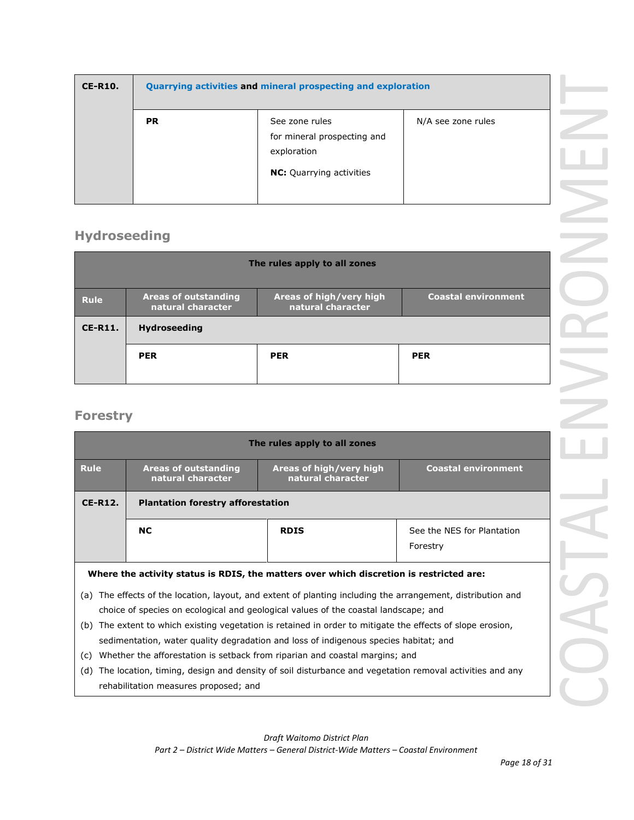| <b>CE-R10.</b> | Quarrying activities and mineral prospecting and exploration |                                                                                                 |                    |
|----------------|--------------------------------------------------------------|-------------------------------------------------------------------------------------------------|--------------------|
|                | <b>PR</b>                                                    | See zone rules<br>for mineral prospecting and<br>exploration<br><b>NC:</b> Quarrying activities | N/A see zone rules |

# **Hydroseeding**

| <b>Areas of outstanding</b><br>natural character | Areas of high/very high<br>natural character | <b>Coastal environment</b>   |
|--------------------------------------------------|----------------------------------------------|------------------------------|
| <b>Hydroseeding</b>                              |                                              |                              |
| <b>PER</b>                                       | <b>PER</b>                                   | <b>PER</b>                   |
|                                                  |                                              | The rules apply to all zones |

## **Forestry**

|             |                                                                                                                                                                                                                                | The rules apply to all zones                 |                                        |
|-------------|--------------------------------------------------------------------------------------------------------------------------------------------------------------------------------------------------------------------------------|----------------------------------------------|----------------------------------------|
| <b>Rule</b> | <b>Areas of outstanding</b><br>natural character                                                                                                                                                                               | Areas of high/very high<br>natural character | <b>Coastal environment</b>             |
| $CE-R12.$   | <b>Plantation forestry afforestation</b>                                                                                                                                                                                       |                                              |                                        |
|             | <b>NC</b>                                                                                                                                                                                                                      | <b>RDIS</b>                                  | See the NES for Plantation<br>Forestry |
|             | Where the activity status is RDIS, the matters over which discretion is restricted are:                                                                                                                                        |                                              |                                        |
| (a)         | The effects of the location, layout, and extent of planting including the arrangement, distribution and<br>choice of species on ecological and geological values of the coastal landscape; and                                 |                                              |                                        |
| (b)         | The extent to which existing vegetation is retained in order to mitigate the effects of slope erosion,<br>sedimentation, water quality degradation and loss of indigenous species habitat; and                                 |                                              |                                        |
| (c)<br>(d)  | Whether the afforestation is setback from riparian and coastal margins; and<br>The location, timing, design and density of soil disturbance and vegetation removal activities and any<br>rehabilitation measures proposed; and |                                              |                                        |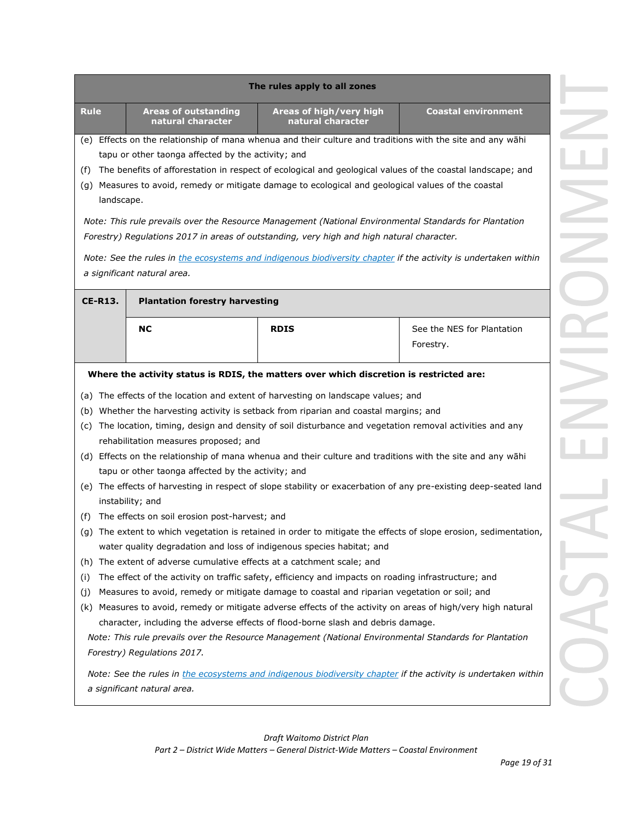| The rules apply to all zones                                                                                                                                                                                                                                                                                                                                                                                                                                                                                                                                                                                                                                                                                                                                                                                                                                                                                                                                                                                    |                                                                                              |                                         |
|-----------------------------------------------------------------------------------------------------------------------------------------------------------------------------------------------------------------------------------------------------------------------------------------------------------------------------------------------------------------------------------------------------------------------------------------------------------------------------------------------------------------------------------------------------------------------------------------------------------------------------------------------------------------------------------------------------------------------------------------------------------------------------------------------------------------------------------------------------------------------------------------------------------------------------------------------------------------------------------------------------------------|----------------------------------------------------------------------------------------------|-----------------------------------------|
| <b>Rule</b><br><b>Areas of outstanding</b><br>natural character                                                                                                                                                                                                                                                                                                                                                                                                                                                                                                                                                                                                                                                                                                                                                                                                                                                                                                                                                 | Areas of high/very high<br>natural character                                                 | <b>Coastal environment</b>              |
| (e) Effects on the relationship of mana whenua and their culture and traditions with the site and any wāhi<br>tapu or other taonga affected by the activity; and<br>The benefits of afforestation in respect of ecological and geological values of the coastal landscape; and<br>(f)<br>(g) Measures to avoid, remedy or mitigate damage to ecological and geological values of the coastal<br>landscape.                                                                                                                                                                                                                                                                                                                                                                                                                                                                                                                                                                                                      |                                                                                              |                                         |
| Note: This rule prevails over the Resource Management (National Environmental Standards for Plantation<br>Forestry) Regulations 2017 in areas of outstanding, very high and high natural character.<br>Note: See the rules in the ecosystems and indigenous biodiversity chapter if the activity is undertaken within<br>a significant natural area.                                                                                                                                                                                                                                                                                                                                                                                                                                                                                                                                                                                                                                                            |                                                                                              |                                         |
| <b>CE-R13.</b><br><b>Plantation forestry harvesting</b>                                                                                                                                                                                                                                                                                                                                                                                                                                                                                                                                                                                                                                                                                                                                                                                                                                                                                                                                                         |                                                                                              |                                         |
| <b>NC</b>                                                                                                                                                                                                                                                                                                                                                                                                                                                                                                                                                                                                                                                                                                                                                                                                                                                                                                                                                                                                       | <b>RDIS</b>                                                                                  | See the NES for Plantation<br>Forestry. |
| (b) Whether the harvesting activity is setback from riparian and coastal margins; and<br>(c) The location, timing, design and density of soil disturbance and vegetation removal activities and any<br>rehabilitation measures proposed; and<br>(d) Effects on the relationship of mana whenua and their culture and traditions with the site and any wahi<br>tapu or other taonga affected by the activity; and<br>(e) The effects of harvesting in respect of slope stability or exacerbation of any pre-existing deep-seated land<br>instability; and<br>The effects on soil erosion post-harvest; and<br>(f)<br>(g) The extent to which vegetation is retained in order to mitigate the effects of slope erosion, sedimentation,<br>water quality degradation and loss of indigenous species habitat; and<br>The extent of adverse cumulative effects at a catchment scale; and<br>(h)<br>The effect of the activity on traffic safety, efficiency and impacts on roading infrastructure; and<br>(i)<br>(i) | Measures to avoid, remedy or mitigate damage to coastal and riparian vegetation or soil; and |                                         |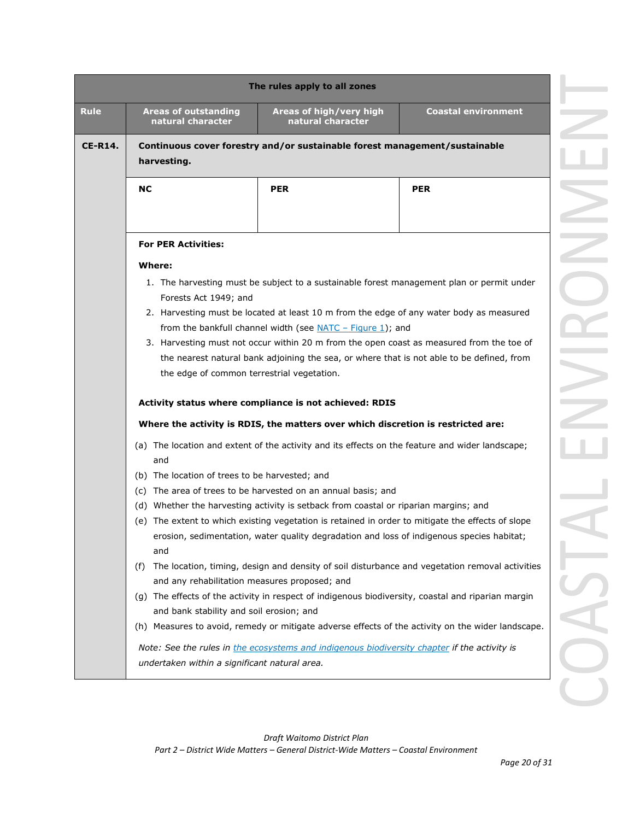|                |                                                  | The rules apply to all zones                                                                       |                                                                                                   |
|----------------|--------------------------------------------------|----------------------------------------------------------------------------------------------------|---------------------------------------------------------------------------------------------------|
| <b>Rule</b>    | <b>Areas of outstanding</b><br>natural character | Areas of high/very high<br>natural character                                                       | <b>Coastal environment</b>                                                                        |
| <b>CE-R14.</b> | harvesting.                                      | Continuous cover forestry and/or sustainable forest management/sustainable                         |                                                                                                   |
|                | NC                                               | <b>PER</b>                                                                                         | <b>PER</b>                                                                                        |
|                |                                                  |                                                                                                    |                                                                                                   |
|                | <b>For PER Activities:</b>                       |                                                                                                    |                                                                                                   |
|                | Where:                                           |                                                                                                    |                                                                                                   |
|                |                                                  | 1. The harvesting must be subject to a sustainable forest management plan or permit under          |                                                                                                   |
|                | Forests Act 1949; and                            | 2. Harvesting must be located at least 10 m from the edge of any water body as measured            |                                                                                                   |
|                |                                                  | from the bankfull channel width (see NATC $-$ Figure 1); and                                       |                                                                                                   |
|                |                                                  | 3. Harvesting must not occur within 20 m from the open coast as measured from the toe of           |                                                                                                   |
|                |                                                  | the nearest natural bank adjoining the sea, or where that is not able to be defined, from          |                                                                                                   |
|                | the edge of common terrestrial vegetation.       |                                                                                                    |                                                                                                   |
|                |                                                  | Activity status where compliance is not achieved: RDIS                                             |                                                                                                   |
|                |                                                  | Where the activity is RDIS, the matters over which discretion is restricted are:                   |                                                                                                   |
|                |                                                  |                                                                                                    |                                                                                                   |
|                | and                                              | (a) The location and extent of the activity and its effects on the feature and wider landscape;    |                                                                                                   |
|                | (b) The location of trees to be harvested; and   |                                                                                                    |                                                                                                   |
|                | (C)                                              | The area of trees to be harvested on an annual basis; and                                          |                                                                                                   |
|                | (d)                                              | Whether the harvesting activity is setback from coastal or riparian margins; and                   |                                                                                                   |
|                |                                                  | (e) The extent to which existing vegetation is retained in order to mitigate the effects of slope  |                                                                                                   |
|                |                                                  | erosion, sedimentation, water quality degradation and loss of indigenous species habitat;          |                                                                                                   |
|                | and                                              |                                                                                                    |                                                                                                   |
|                | (f)                                              |                                                                                                    | The location, timing, design and density of soil disturbance and vegetation removal activities    |
|                | and any rehabilitation measures proposed; and    |                                                                                                    |                                                                                                   |
|                |                                                  | (g) The effects of the activity in respect of indigenous biodiversity, coastal and riparian margin |                                                                                                   |
|                | and bank stability and soil erosion; and         |                                                                                                    |                                                                                                   |
|                |                                                  |                                                                                                    | (h) Measures to avoid, remedy or mitigate adverse effects of the activity on the wider landscape. |
|                |                                                  | Note: See the rules in the ecosystems and indigenous biodiversity chapter if the activity is       |                                                                                                   |
|                | undertaken within a significant natural area.    |                                                                                                    |                                                                                                   |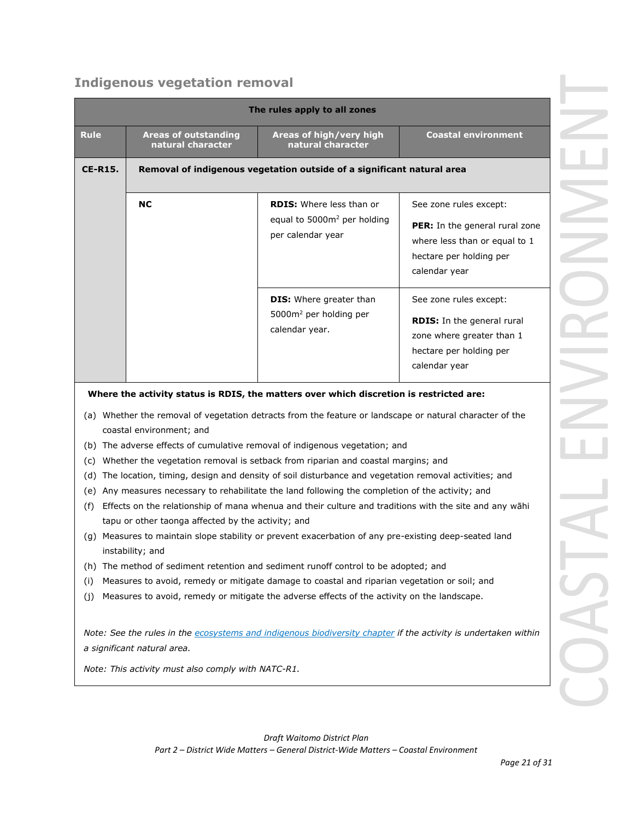# **Indigenous vegetation removal**

| The rules apply to all zones |                                                                                                    |                                                                                                                                                                                                                                                                                                                                                                                                                                                                                                                                                                                                                                                                                                                                                                                               |                                                                                                                                       |  |
|------------------------------|----------------------------------------------------------------------------------------------------|-----------------------------------------------------------------------------------------------------------------------------------------------------------------------------------------------------------------------------------------------------------------------------------------------------------------------------------------------------------------------------------------------------------------------------------------------------------------------------------------------------------------------------------------------------------------------------------------------------------------------------------------------------------------------------------------------------------------------------------------------------------------------------------------------|---------------------------------------------------------------------------------------------------------------------------------------|--|
| <b>Rule</b>                  | <b>Areas of outstanding</b><br>natural character                                                   | Areas of high/very high<br>natural character                                                                                                                                                                                                                                                                                                                                                                                                                                                                                                                                                                                                                                                                                                                                                  | <b>Coastal environment</b>                                                                                                            |  |
| <b>CE-R15.</b>               |                                                                                                    | Removal of indigenous vegetation outside of a significant natural area                                                                                                                                                                                                                                                                                                                                                                                                                                                                                                                                                                                                                                                                                                                        |                                                                                                                                       |  |
|                              | <b>NC</b>                                                                                          | <b>RDIS:</b> Where less than or<br>equal to 5000m <sup>2</sup> per holding<br>per calendar year                                                                                                                                                                                                                                                                                                                                                                                                                                                                                                                                                                                                                                                                                               | See zone rules except:<br>PER: In the general rural zone<br>where less than or equal to 1<br>hectare per holding per<br>calendar year |  |
|                              |                                                                                                    | <b>DIS:</b> Where greater than<br>5000m <sup>2</sup> per holding per<br>calendar year.                                                                                                                                                                                                                                                                                                                                                                                                                                                                                                                                                                                                                                                                                                        | See zone rules except:<br><b>RDIS:</b> In the general rural<br>zone where greater than 1<br>hectare per holding per<br>calendar year  |  |
|                              |                                                                                                    | Where the activity status is RDIS, the matters over which discretion is restricted are:                                                                                                                                                                                                                                                                                                                                                                                                                                                                                                                                                                                                                                                                                                       |                                                                                                                                       |  |
| (c)<br>(d)<br>(e)<br>(f)     | coastal environment; and<br>tapu or other taonga affected by the activity; and<br>instability; and | (a) Whether the removal of vegetation detracts from the feature or landscape or natural character of the<br>(b) The adverse effects of cumulative removal of indigenous vegetation; and<br>Whether the vegetation removal is setback from riparian and coastal margins; and<br>The location, timing, design and density of soil disturbance and vegetation removal activities; and<br>Any measures necessary to rehabilitate the land following the completion of the activity; and<br>Effects on the relationship of mana whenua and their culture and traditions with the site and any wāhi<br>(g) Measures to maintain slope stability or prevent exacerbation of any pre-existing deep-seated land<br>(h) The method of sediment retention and sediment runoff control to be adopted; and |                                                                                                                                       |  |
| (i)<br>(j)                   |                                                                                                    | Measures to avoid, remedy or mitigate damage to coastal and riparian vegetation or soil; and<br>Measures to avoid, remedy or mitigate the adverse effects of the activity on the landscape.                                                                                                                                                                                                                                                                                                                                                                                                                                                                                                                                                                                                   |                                                                                                                                       |  |
|                              | a significant natural area.                                                                        | Note: See the rules in the ecosystems and indigenous biodiversity chapter if the activity is undertaken within                                                                                                                                                                                                                                                                                                                                                                                                                                                                                                                                                                                                                                                                                |                                                                                                                                       |  |
|                              | Note: This activity must also comply with NATC-R1.                                                 |                                                                                                                                                                                                                                                                                                                                                                                                                                                                                                                                                                                                                                                                                                                                                                                               |                                                                                                                                       |  |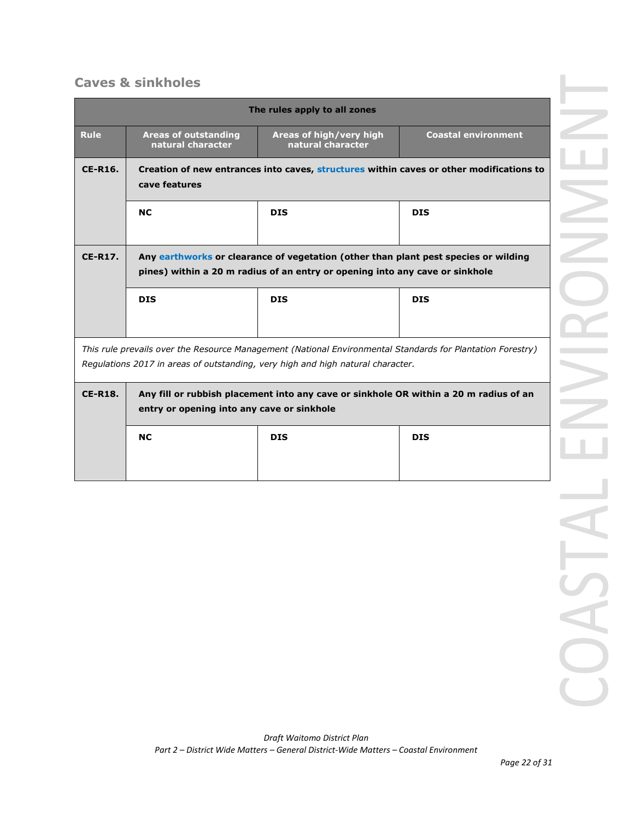## **Caves & sinkholes**

|                                                                                                                                                                                               |                                                                                                                                                                     | The rules apply to all zones                 |                            |  |  |
|-----------------------------------------------------------------------------------------------------------------------------------------------------------------------------------------------|---------------------------------------------------------------------------------------------------------------------------------------------------------------------|----------------------------------------------|----------------------------|--|--|
| <b>Rule</b>                                                                                                                                                                                   | <b>Areas of outstanding</b><br>natural character                                                                                                                    | Areas of high/very high<br>natural character | <b>Coastal environment</b> |  |  |
| <b>CE-R16.</b>                                                                                                                                                                                | Creation of new entrances into caves, structures within caves or other modifications to<br>cave features                                                            |                                              |                            |  |  |
|                                                                                                                                                                                               | <b>NC</b>                                                                                                                                                           | <b>DIS</b>                                   | <b>DIS</b>                 |  |  |
| <b>CE-R17.</b>                                                                                                                                                                                | Any earthworks or clearance of vegetation (other than plant pest species or wilding<br>pines) within a 20 m radius of an entry or opening into any cave or sinkhole |                                              |                            |  |  |
|                                                                                                                                                                                               | <b>DIS</b>                                                                                                                                                          | <b>DIS</b>                                   | <b>DIS</b>                 |  |  |
| This rule prevails over the Resource Management (National Environmental Standards for Plantation Forestry)<br>Regulations 2017 in areas of outstanding, very high and high natural character. |                                                                                                                                                                     |                                              |                            |  |  |
| <b>CE-R18.</b>                                                                                                                                                                                | Any fill or rubbish placement into any cave or sinkhole OR within a 20 m radius of an<br>entry or opening into any cave or sinkhole                                 |                                              |                            |  |  |
|                                                                                                                                                                                               | <b>NC</b>                                                                                                                                                           | <b>DIS</b>                                   | <b>DIS</b>                 |  |  |
|                                                                                                                                                                                               |                                                                                                                                                                     |                                              |                            |  |  |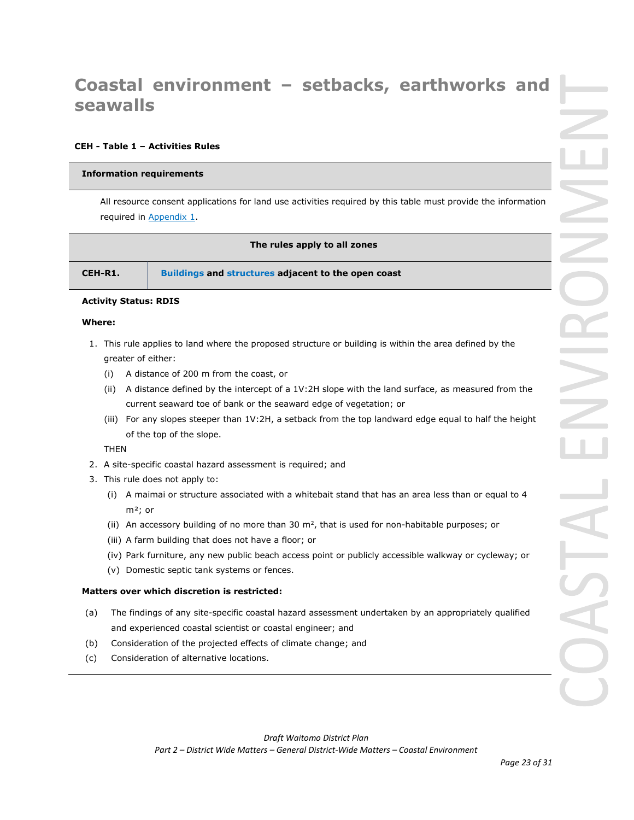# **Coastal environment – setbacks, earthworks and seawalls**

## **CEH - Table 1 – Activities Rules**

#### **Information requirements**

All resource consent applications for land use activities required by this table must provide the information required in Appendix 1.

#### **The rules apply to all zones**

| CEH-R1.<br>Buildings and structures adjacent to the open coast |
|----------------------------------------------------------------|
|----------------------------------------------------------------|

## **Activity Status: RDIS**

#### **Where:**

- 1. This rule applies to land where the proposed structure or building is within the area defined by the greater of either:
	- (i) A distance of 200 m from the coast, or
	- (ii) A distance defined by the intercept of a 1V:2H slope with the land surface, as measured from the current seaward toe of bank or the seaward edge of vegetation; or
	- (iii) For any slopes steeper than 1V:2H, a setback from the top landward edge equal to half the height of the top of the slope.

THEN

- 2. A site-specific coastal hazard assessment is required; and
- 3. This rule does not apply to:
	- (i) A maimai or structure associated with a whitebait stand that has an area less than or equal to 4 m²; or
	- (ii) An accessory building of no more than 30  $m^2$ , that is used for non-habitable purposes; or
	- (iii) A farm building that does not have a floor; or
	- (iv) Park furniture, any new public beach access point or publicly accessible walkway or cycleway; or
	- (v) Domestic septic tank systems or fences.

## **Matters over which discretion is restricted:**

- (a) The findings of any site-specific coastal hazard assessment undertaken by an appropriately qualified and experienced coastal scientist or coastal engineer; and
- (b) Consideration of the projected effects of climate change; and
- (c) Consideration of alternative locations.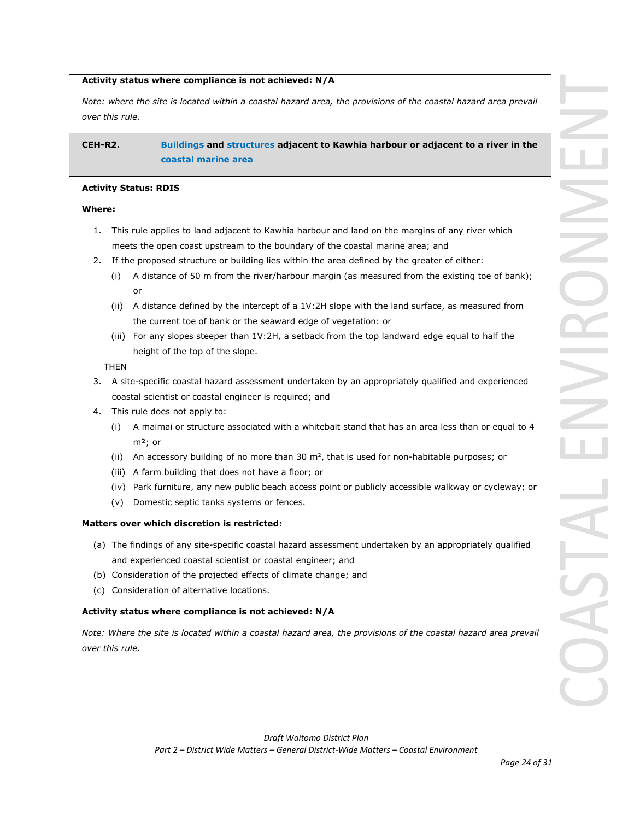## **Activity status where compliance is not achieved: N/A**

*Note: where the site is located within a coastal hazard area, the provisions of the coastal hazard area prevail over this rule.* 

## **CEH-R2. Buildings and structures adjacent to Kawhia harbour or adjacent to a river in the coastal marine area**

## **Activity Status: RDIS**

## **Where:**

- 1. This rule applies to land adjacent to Kawhia harbour and land on the margins of any river which meets the open coast upstream to the boundary of the coastal marine area; and
- 2. If the proposed structure or building lies within the area defined by the greater of either:
	- (i) A distance of 50 m from the river/harbour margin (as measured from the existing toe of bank); or
	- (ii) A distance defined by the intercept of a 1V:2H slope with the land surface, as measured from the current toe of bank or the seaward edge of vegetation: or
	- (iii) For any slopes steeper than 1V:2H, a setback from the top landward edge equal to half the height of the top of the slope.

THEN

- 3. A site-specific coastal hazard assessment undertaken by an appropriately qualified and experienced coastal scientist or coastal engineer is required; and
- 4. This rule does not apply to:
	- (i) A maimai or structure associated with a whitebait stand that has an area less than or equal to 4 m²; or
	- (ii) An accessory building of no more than 30  $m^2$ , that is used for non-habitable purposes; or
	- (iii) A farm building that does not have a floor; or
	- (iv) Park furniture, any new public beach access point or publicly accessible walkway or cycleway; or
	- (v) Domestic septic tanks systems or fences.

## **Matters over which discretion is restricted:**

- (a) The findings of any site-specific coastal hazard assessment undertaken by an appropriately qualified and experienced coastal scientist or coastal engineer; and
- (b) Consideration of the projected effects of climate change; and
- (c) Consideration of alternative locations.

## **Activity status where compliance is not achieved: N/A**

*Note: Where the site is located within a coastal hazard area, the provisions of the coastal hazard area prevail over this rule.*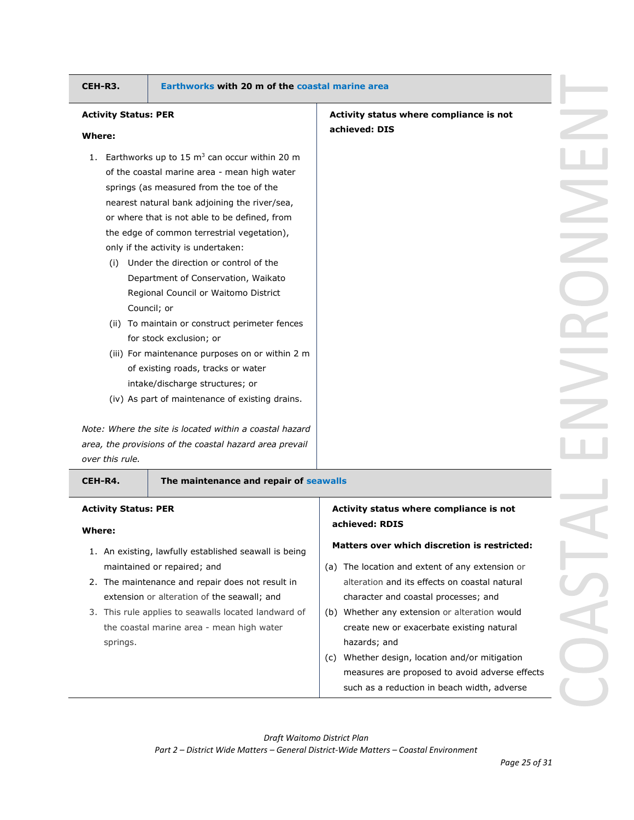## **CEH-R3. Earthworks with 20 m of the coastal marine area**

## **Activity Status: PER**

#### **Where:**

- 1. Earthworks up to 15  $m<sup>3</sup>$  can occur within 20 m of the coastal marine area - mean high water springs (as measured from the toe of the nearest natural bank adjoining the river/sea, or where that is not able to be defined, from the edge of common terrestrial vegetation), only if the activity is undertaken:
	- (i) Under the direction or control of the Department of Conservation, Waikato Regional Council or Waitomo District Council; or
	- (ii) To maintain or construct perimeter fences for stock exclusion; or
	- (iii) For maintenance purposes on or within 2 m of existing roads, tracks or water intake/discharge structures; or
	- (iv) As part of maintenance of existing drains.

*Note: Where the site is located within a coastal hazard area, the provisions of the coastal hazard area prevail over this rule.*

#### **CEH-R4. The maintenance and repair of seawalls**

## **Activity Status: PER**

## **Where:**

- 1. An existing, lawfully established seawall is being maintained or repaired; and
- 2. The maintenance and repair does not result in extension or alteration of the seawall; and
- 3. This rule applies to seawalls located landward of the coastal marine area - mean high water springs.

## **Activity status where compliance is not achieved: RDIS**

**Activity status where compliance is not** 

**achieved: DIS**

#### **Matters over which discretion is restricted:**

- (a) The location and extent of any extension or alteration and its effects on coastal natural character and coastal processes; and
- (b) Whether any extension or alteration would create new or exacerbate existing natural hazards; and
- (c) Whether design, location and/or mitigation measures are proposed to avoid adverse effects such as a reduction in beach width, adverse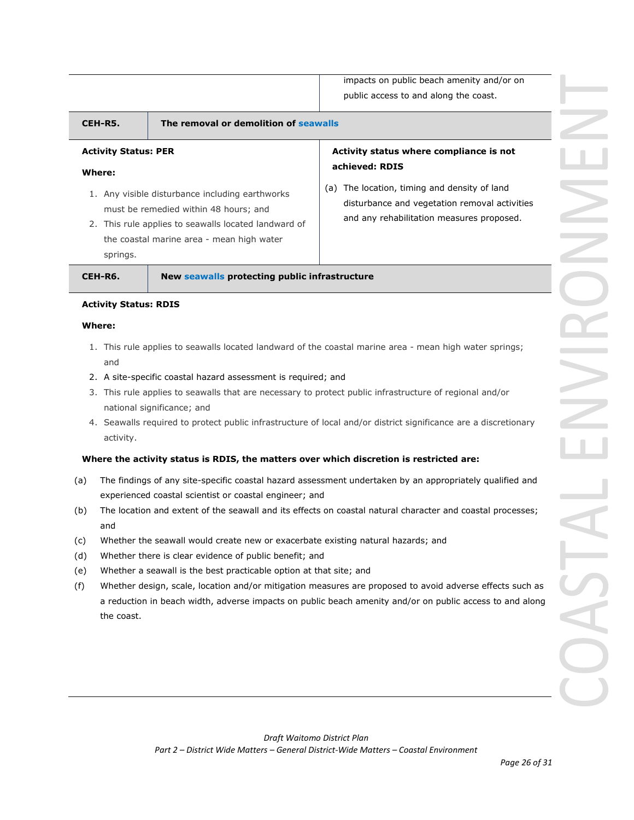impacts on public beach amenity and/or on public access to and along the coast.

| CEH-R5.                                           | The removal or demolition of seawalls                                                                                                                                                         |                                                                                                                                                                                                            |
|---------------------------------------------------|-----------------------------------------------------------------------------------------------------------------------------------------------------------------------------------------------|------------------------------------------------------------------------------------------------------------------------------------------------------------------------------------------------------------|
| <b>Activity Status: PER</b><br>Where:<br>springs. | 1. Any visible disturbance including earthworks<br>must be remedied within 48 hours; and<br>2. This rule applies to seawalls located landward of<br>the coastal marine area - mean high water | Activity status where compliance is not<br>achieved: RDIS<br>The location, timing and density of land<br>(a)<br>disturbance and vegetation removal activities<br>and any rehabilitation measures proposed. |
| CEH-R6.<br><b>Activity Status: RDIS</b>           | New seawalls protecting public infrastructure                                                                                                                                                 |                                                                                                                                                                                                            |
| Where:                                            |                                                                                                                                                                                               |                                                                                                                                                                                                            |

## 1. This rule applies to seawalls located landward of the coastal marine area - mean high water springs; and

- 2. A site-specific coastal hazard assessment is required; and
- 3. This rule applies to seawalls that are necessary to protect public infrastructure of regional and/or national significance; and
- 4. Seawalls required to protect public infrastructure of local and/or district significance are a discretionary activity.

## **Where the activity status is RDIS, the matters over which discretion is restricted are:**

- (a) The findings of any site-specific coastal hazard assessment undertaken by an appropriately qualified and experienced coastal scientist or coastal engineer; and
- (b) The location and extent of the seawall and its effects on coastal natural character and coastal processes; and
- (c) Whether the seawall would create new or exacerbate existing natural hazards; and
- (d) Whether there is clear evidence of public benefit; and
- (e) Whether a seawall is the best practicable option at that site; and
- (f) Whether design, scale, location and/or mitigation measures are proposed to avoid adverse effects such as a reduction in beach width, adverse impacts on public beach amenity and/or on public access to and along the coast.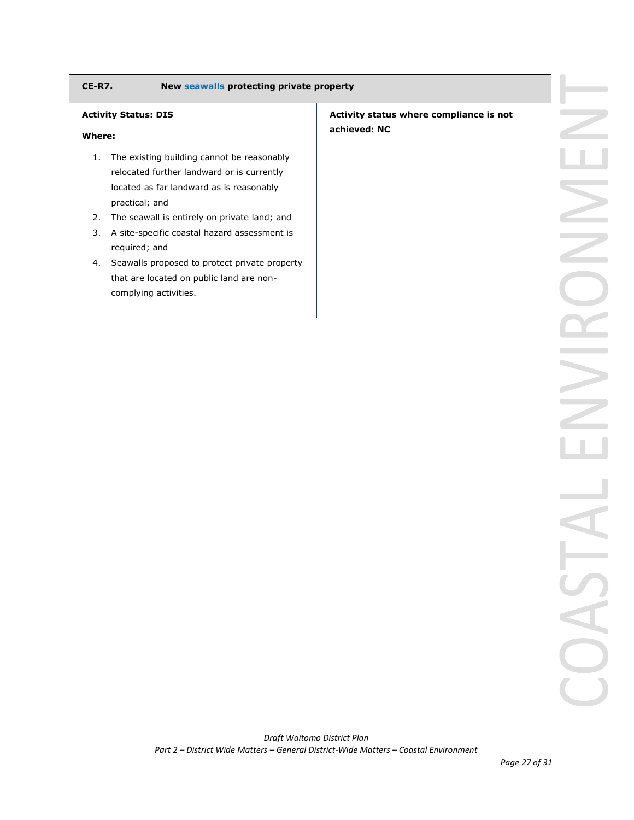| CE-R7. | New seawalls protecting private property                                                                                                               |                                                         |  |
|--------|--------------------------------------------------------------------------------------------------------------------------------------------------------|---------------------------------------------------------|--|
| Where: | <b>Activity Status: DIS</b>                                                                                                                            | Activity status where compliance is not<br>achieved: NC |  |
| 1.     | The existing building cannot be reasonably<br>relocated further landward or is currently<br>located as far landward as is reasonably<br>practical; and |                                                         |  |
| 2.     | The seawall is entirely on private land; and                                                                                                           |                                                         |  |
| 3.     | A site-specific coastal hazard assessment is<br>required; and                                                                                          |                                                         |  |
|        | 4. Seawalls proposed to protect private property<br>that are located on public land are non-<br>complying activities.                                  |                                                         |  |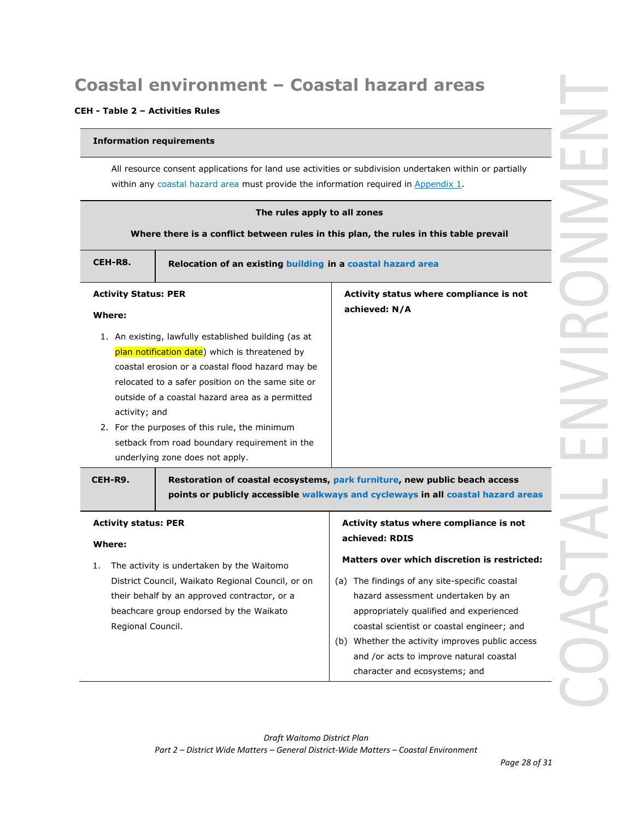# **Coastal environment – Coastal hazard areas**

## **CEH - Table 2 – Activities Rules**

## **Information requirements**

All resource consent applications for land use activities or subdivision undertaken within or partially within any coastal hazard area must provide the information required in Appendix 1.

| The rules apply to all zones                                           |                                                                                       |  |  |
|------------------------------------------------------------------------|---------------------------------------------------------------------------------------|--|--|
|                                                                        | Where there is a conflict between rules in this plan, the rules in this table prevail |  |  |
|                                                                        |                                                                                       |  |  |
| CEH-R8.<br>Relocation of an existing building in a coastal hazard area |                                                                                       |  |  |
|                                                                        |                                                                                       |  |  |
| Activity status where compliance is not<br><b>Activity Status: PER</b> |                                                                                       |  |  |

**achieved: N/A**

## **Activity Status: PER**

## **Where:**

- 1. An existing, lawfully established building (as at plan notification date) which is threatened by coastal erosion or a coastal flood hazard may be relocated to a safer position on the same site or outside of a coastal hazard area as a permitted activity; and
- 2. For the purposes of this rule, the minimum setback from road boundary requirement in the underlying zone does not apply.

**CEH-R9. Restoration of coastal ecosystems, park furniture, new public beach access points or publicly accessible walkways and cycleways in all coastal hazard areas**

#### **Activity status: PER Where:** 1. The activity is undertaken by the Waitomo District Council, Waikato Regional Council, or on their behalf by an approved contractor, or a beachcare group endorsed by the Waikato Regional Council. **Activity status where compliance is not achieved: RDIS Matters over which discretion is restricted:** (a) The findings of any site-specific coastal hazard assessment undertaken by an appropriately qualified and experienced coastal scientist or coastal engineer; and (b) Whether the activity improves public access

# and /or acts to improve natural coastal character and ecosystems; and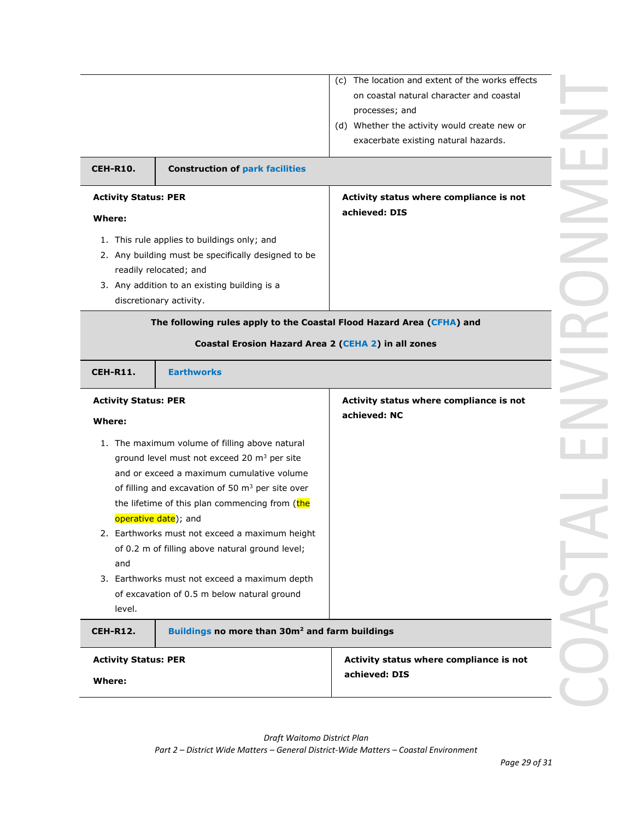|                                                                                                                                                                                                                                                                                              | (c) The location and extent of the works effects<br>on coastal natural character and coastal<br>processes; and<br>(d) Whether the activity would create new or<br>exacerbate existing natural hazards. |
|----------------------------------------------------------------------------------------------------------------------------------------------------------------------------------------------------------------------------------------------------------------------------------------------|--------------------------------------------------------------------------------------------------------------------------------------------------------------------------------------------------------|
| <b>CEH-R10.</b><br><b>Construction of park facilities</b>                                                                                                                                                                                                                                    |                                                                                                                                                                                                        |
| <b>Activity Status: PER</b><br>Where:                                                                                                                                                                                                                                                        | Activity status where compliance is not<br>achieved: DIS                                                                                                                                               |
| 1. This rule applies to buildings only; and<br>2. Any building must be specifically designed to be<br>readily relocated; and<br>3. Any addition to an existing building is a<br>discretionary activity.                                                                                      |                                                                                                                                                                                                        |
| The following rules apply to the Coastal Flood Hazard Area (CFHA) and<br>Coastal Erosion Hazard Area 2 (CEHA 2) in all zones                                                                                                                                                                 |                                                                                                                                                                                                        |
| <b>Earthworks</b><br><b>CEH-R11.</b>                                                                                                                                                                                                                                                         |                                                                                                                                                                                                        |
| <b>Activity Status: PER</b><br>Where:                                                                                                                                                                                                                                                        | Activity status where compliance is not<br>achieved: NC                                                                                                                                                |
| 1. The maximum volume of filling above natural<br>ground level must not exceed 20 m <sup>3</sup> per site<br>and or exceed a maximum cumulative volume<br>of filling and excavation of 50 m <sup>3</sup> per site over                                                                       |                                                                                                                                                                                                        |
| the lifetime of this plan commencing from (the<br>operative date); and<br>2. Earthworks must not exceed a maximum height<br>of 0.2 m of filling above natural ground level;<br>and<br>3. Earthworks must not exceed a maximum depth<br>of excavation of 0.5 m below natural ground<br>level. |                                                                                                                                                                                                        |
| Buildings no more than 30m <sup>2</sup> and farm buildings<br><b>CEH-R12.</b>                                                                                                                                                                                                                |                                                                                                                                                                                                        |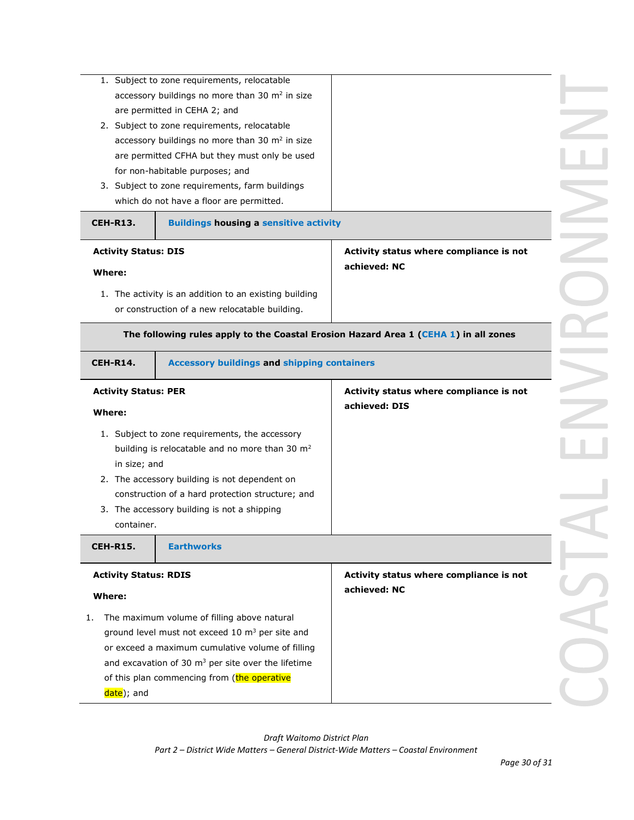| <b>CEH-R13.</b>                                                     | 1. Subject to zone requirements, relocatable<br>accessory buildings no more than 30 $m2$ in size<br>are permitted in CEHA 2; and<br>2. Subject to zone requirements, relocatable<br>accessory buildings no more than 30 m <sup>2</sup> in size<br>are permitted CFHA but they must only be used<br>for non-habitable purposes; and<br>3. Subject to zone requirements, farm buildings<br>which do not have a floor are permitted.<br><b>Buildings housing a sensitive activity</b> |                                                                                      |  |
|---------------------------------------------------------------------|------------------------------------------------------------------------------------------------------------------------------------------------------------------------------------------------------------------------------------------------------------------------------------------------------------------------------------------------------------------------------------------------------------------------------------------------------------------------------------|--------------------------------------------------------------------------------------|--|
| <b>Activity Status: DIS</b><br><b>Where:</b>                        | 1. The activity is an addition to an existing building<br>or construction of a new relocatable building.                                                                                                                                                                                                                                                                                                                                                                           | Activity status where compliance is not<br>achieved: NC                              |  |
| <b>CEH-R14.</b>                                                     | <b>Accessory buildings and shipping containers</b>                                                                                                                                                                                                                                                                                                                                                                                                                                 | The following rules apply to the Coastal Erosion Hazard Area 1 (CEHA 1) in all zones |  |
| <b>Activity Status: PER</b><br>Where:<br>in size; and<br>container. | 1. Subject to zone requirements, the accessory<br>building is relocatable and no more than 30 m <sup>2</sup><br>2. The accessory building is not dependent on<br>construction of a hard protection structure; and<br>3. The accessory building is not a shipping                                                                                                                                                                                                                   | Activity status where compliance is not<br>achieved: DIS                             |  |
| <b>CEH-R15.</b><br><b>Activity Status: RDIS</b><br>Where:           | <b>Earthworks</b>                                                                                                                                                                                                                                                                                                                                                                                                                                                                  | Activity status where compliance is not<br>achieved: NC                              |  |
| 1.<br>date); and                                                    | The maximum volume of filling above natural<br>ground level must not exceed 10 m <sup>3</sup> per site and<br>or exceed a maximum cumulative volume of filling<br>and excavation of 30 $m3$ per site over the lifetime<br>of this plan commencing from (the operative                                                                                                                                                                                                              |                                                                                      |  |